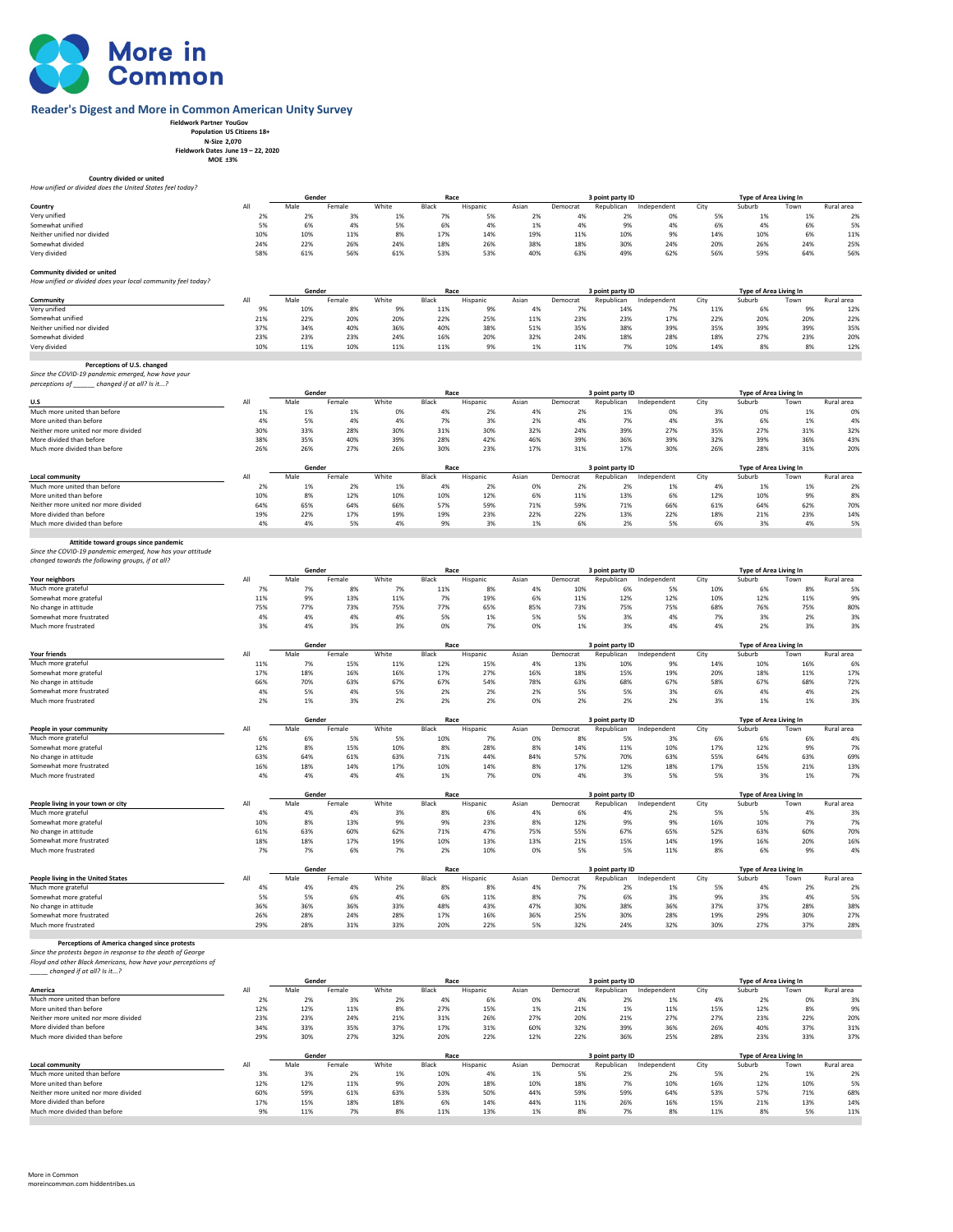

## **Reader's Digest and More in Common American Unity Survey**

- **Fieldwork Partner YouGov Population US Citizens 18+ N-Size 2,070 Fieldwork Dates June 19 22, 2020 MOE ±3%** 
	-

| Country divided or united<br>How unified or divided does the United States feel today?                                               |            |                |              |            |               |                |             |                |                                |                   |             |                                  |            |            |
|--------------------------------------------------------------------------------------------------------------------------------------|------------|----------------|--------------|------------|---------------|----------------|-------------|----------------|--------------------------------|-------------------|-------------|----------------------------------|------------|------------|
|                                                                                                                                      |            | Gender         |              |            | Race          |                |             |                | 3 point party ID               |                   |             | Type of Area Living In           |            |            |
| Country                                                                                                                              | All        | Male           | Female       | White      | Black         | Hispanic       | Asian       | Democrat       | Republican                     | Independent       | City        | Suburb                           | Town       | Rural area |
| Very unified                                                                                                                         | 2%         | 2%             | 3%           | 1%         | 7%            | 5%             | 2%          | 4%             | 2%                             | 0%                | 5%          | 1%                               | 1%         | 2%         |
| Somewhat unified                                                                                                                     | 5%         | 6%             | 4%           | 5%         | 6%            | 4%             | 1%          | 4%             | 9%                             | 4%                | 6%          | 4%                               | 6%         | 5%         |
| Neither unified nor divided                                                                                                          | 10%        | 10%            | 11%          | 8%         | 17%           | 14%            | 19%         | 11%            | 10%                            | 9%                | 14%         | 10%                              | 6%         | 11%        |
| Somewhat divided                                                                                                                     | 24%        | 22%            | 26%          | 24%        | 18%           | 26%            | 38%         | 18%            | 30%                            | 24%               | 20%         | 26%                              | 24%        | 25%        |
| Very divided                                                                                                                         | 58%        | 61%            | 56%          | 61%        | 53%           | 53%            | 40%         | 63%            | 49%                            | 62%               | 56%         | 59%                              | 64%        | 56%        |
| Community divided or united<br>How unified or divided does your local community feel today?                                          |            |                |              |            |               |                |             |                |                                |                   |             |                                  |            |            |
|                                                                                                                                      | All        | Gender<br>Male |              | White      | Race          |                |             |                | 3 point party ID               |                   |             | Type of Area Living In           |            | Rural area |
| Community<br>Very unified                                                                                                            | 9%         | 10%            | Female<br>8% | 9%         | Black<br>11%  | Hispanic<br>9% | Asian<br>4% | Democrat<br>7% | Republican<br>14%              | Independent<br>7% | City<br>11% | Suburb<br>6%                     | Town<br>9% | 12%        |
| Somewhat unified                                                                                                                     | 21%        | 22%            | 20%          | 20%        | 22%           | 25%            | 11%         | 23%            | 23%                            | 17%               | 22%         | 20%                              | 20%        | 22%        |
| Neither unified nor divided                                                                                                          | 37%        | 34%            | 40%          | 36%        | 40%           | 38%            | 51%         | 35%            | 38%                            | 39%               | 35%         | 39%                              | 39%        | 35%        |
| Somewhat divided                                                                                                                     | 23%        | 23%            | 23%          | 24%        | 16%           | 20%            | 32%         | 24%            | 18%                            | 28%               | 18%         | 27%                              | 23%        | 20%        |
| Very divided                                                                                                                         | 10%        | 11%            | 10%          | 11%        | 11%           | 9%             | 1%          | 11%            | 7%                             | 10%               | 14%         | 8%                               | 8%         | 12%        |
|                                                                                                                                      |            |                |              |            |               |                |             |                |                                |                   |             |                                  |            |            |
| Perceptions of U.S. changed<br>Since the COVID-19 pandemic emerged, how have your<br>perceptions of ______ changed if at all? Is it? |            |                |              |            |               |                |             |                |                                |                   |             |                                  |            |            |
| U.S                                                                                                                                  | All        | Gender<br>Male | Female       | White      | Race<br>Black | Hispanic       | Asian       | Democrat       | 3 point party ID<br>Republican | Independent       | City        | Type of Area Living In<br>Suburb | Town       | Rural area |
| Much more united than before                                                                                                         | 1%         | 1%             | 1%           | 0%         | 4%            | 2%             | 4%          | 2%             | 1%                             | 0%                | 3%          | 0%                               | 1%         | 0%         |
| More united than before                                                                                                              | 4%         | 5%             | 4%           | 4%         | 7%            | 3%             | 2%          | 4%             | 7%                             | 4%                | 3%          | 6%                               | 1%         | 4%         |
| Neither more united nor more divided                                                                                                 | 30%        | 33%            | 28%          | 30%        | 31%           | 30%            | 32%         | 24%            | 39%                            | 27%               | 35%         | 27%                              | 31%        | 32%        |
| More divided than before                                                                                                             | 38%        | 35%            | 40%          | 39%        | 28%           | 42%            | 46%         | 39%            | 36%                            | 39%               | 32%         | 39%                              | 36%        | 43%        |
| Much more divided than before                                                                                                        | 26%        | 26%            | 27%          | 26%        | 30%           | 23%            | 17%         | 31%            | 17%                            | 30%               | 26%         | 28%                              | 31%        | 20%        |
|                                                                                                                                      |            |                |              |            |               |                |             |                |                                |                   |             |                                  |            |            |
|                                                                                                                                      |            | Gender         |              |            | Race          |                |             |                | 3 point party ID               |                   |             | Type of Area Living In           |            |            |
| Local community                                                                                                                      | All        | Male           | Female       | White      | Black         | Hispanic       | Asian       | Democrat       | Republican                     | Independent       | City        | Suburb                           | Town       | Rural area |
| Much more united than before                                                                                                         | 2%         | 1%             | 2%           | 1%         | 4%            | 2%             | 0%          | 2%             | 2%                             | 1%                | 4%          | 1%                               | 1%         | 2%         |
| More united than before                                                                                                              | 10%<br>64% | 8%<br>65%      | 12%<br>64%   | 10%<br>66% | 10%<br>57%    | 12%<br>59%     | 6%          | 11%<br>59%     | 13%<br>71%                     | 6%<br>66%         | 12%<br>61%  | 10%<br>64%                       | 9%<br>62%  | 8%         |
| Neither more united nor more divided<br>More divided than before                                                                     | 19%        | 22%            | 17%          | 19%        | 19%           | 23%            | 71%<br>22%  | 22%            | 13%                            | 22%               | 18%         | 21%                              | 23%        | 70%<br>14% |
| Much more divided than before                                                                                                        | 4%         | 4%             | 5%           | 4%         | 9%            | 3%             | 1%          | 6%             | 2%                             | 5%                | 6%          | 3%                               | 4%         | 5%         |
|                                                                                                                                      |            |                |              |            |               |                |             |                |                                |                   |             |                                  |            |            |
| Attitide toward groups since pandemic                                                                                                |            |                |              |            |               |                |             |                |                                |                   |             |                                  |            |            |
| Since the COVID-19 pandemic emerged, how has your attitude                                                                           |            |                |              |            |               |                |             |                |                                |                   |             |                                  |            |            |
| changed towards the following groups, if at all?                                                                                     |            |                |              |            |               |                |             |                |                                |                   |             |                                  |            |            |
|                                                                                                                                      |            | Gender         |              |            | Race          |                |             |                | 3 point party ID               |                   |             | Type of Area Living In           |            |            |
| Your neighbors                                                                                                                       | All        | Male           | Female       | White      | Black         | Hispanic       | Asian       | Democrat       | Republican                     | Independent       | City<br>10% | Suburb                           | Town       | Rural area |
| Much more grateful<br>Somewhat more grateful                                                                                         | 7%<br>11%  | 7%<br>9%       | 8%<br>13%    | 7%<br>11%  | 11%<br>7%     | 8%<br>19%      | 4%<br>6%    | 10%<br>11%     | 6%<br>12%                      | 5%<br>12%         | 10%         | 6%<br>12%                        | 8%<br>11%  | 5%<br>9%   |
| No change in attitude                                                                                                                | 75%        | 77%            | 73%          | 75%        | 77%           | 65%            | 85%         | 73%            | 75%                            | 75%               | 68%         | 76%                              | 75%        | 80%        |
| Somewhat more frustrated                                                                                                             | 4%         | 4%             | 4%           | 4%         | 5%            | 1%             | 5%          | 5%             | 3%                             | 4%                | 7%          | 3%                               | 2%         | 3%         |
| Much more frustrated                                                                                                                 | 3%         | 4%             | 3%           | 3%         | 0%            | 7%             | 0%          | 1%             | 3%                             | 4%                | 4%          | 2%                               | 3%         | 3%         |
|                                                                                                                                      |            |                |              |            |               |                |             |                |                                |                   |             |                                  |            |            |
|                                                                                                                                      |            | Gender         |              |            | Race          |                |             |                | 3 point party ID               |                   |             | Type of Area Living In           |            |            |
| Your friends                                                                                                                         | All        | Male           | Female       | White      | Black         | Hispanic       | Asian       | Democrat       | Republican                     | Independent       | City        | Suburb                           | Town       | Rural area |
| Much more grateful                                                                                                                   | 11%        | 7%             | 15%          | 11%        | 12%           | 15%            | 4%          | 13%            | 10%                            | 9%                | 14%         | 10%                              | 16%        | 6%         |
| Somewhat more grateful                                                                                                               | 17%        | 18%            | 16%          | 16%        | 17%           | 27%            | 16%         | 18%            | 15%                            | 19%               | 20%         | 18%                              | 11%        | 17%        |
| No change in attitude                                                                                                                | 66%        | 70%            | 63%          | 67%        | 67%           | 54%            | 78%         | 63%            | 68%                            | 67%               | 58%         | 67%                              | 68%        | 72%        |
| Somewhat more frustrated                                                                                                             | 4%         | 5%             | 4%           | 5%         | 2%            | 2%             | 2%          | 5%             | 5%                             | 3%                | 6%          | 4%                               | 4%         | 2%         |
| Much more frustrated                                                                                                                 | 2%         | 1%             | 3%           | 2%         | 2%            | 2%             | 0%          | 2%             | 2%                             | 2%                | 3%          | 1%                               | 1%         | 3%         |
|                                                                                                                                      |            |                |              |            |               |                |             |                |                                |                   |             |                                  |            |            |
| People in your community                                                                                                             | All        | Gender<br>Male | Female       | White      | Race<br>Black | Hispanic       | Asian       | Democrat       | 3 point party ID<br>Republican | Independent       | City        | Type of Area Living In<br>Suburb | Town       | Rural area |
| Much more grateful                                                                                                                   | 6%         | 6%             | 5%           | 5%         | 10%           | 7%             | 0%          | 8%             | 5%                             | 3%                | 6%          | 6%                               | 6%         | 4%         |
| Somewhat more grateful                                                                                                               | 12%        | 8%             | 15%          | 10%        | 8%            | 28%            | 8%          | 14%            | 11%                            | 10%               | 17%         | 12%                              | 9%         | 7%         |
| No change in attitude                                                                                                                | 63%        | 64%            | 61%          | 63%        | 71%           | 44%            | 84%         | 57%            | 70%                            | 63%               | 55%         | 64%                              | 63%        | 69%        |
| Somewhat more frustrated                                                                                                             | 16%        | 18%            | 14%          | 17%        | 10%           | 14%            | 8%          | 17%            | 12%                            | 18%               | 17%         | 15%                              | 21%        | 13%        |
| Much more frustrated                                                                                                                 | 4%         | 4%             | 4%           | 4%         | 1%            | 7%             | 0%          | 4%             | 3%                             | 5%                | 5%          | 3%                               | 1%         | 7%         |
|                                                                                                                                      |            |                |              |            |               |                |             |                |                                |                   |             |                                  |            |            |
|                                                                                                                                      |            | Gender         |              |            | Race          |                |             |                | 3 point party ID               |                   |             | Type of Area Living In           |            |            |
| People living in your town or city                                                                                                   | All        | Male           | Female       | White      | Black         | Hispanic       | Asian       | Democrat       | Republican                     | Independent       | City        | Suburb                           | Town       | Rural area |
| Much more grateful                                                                                                                   | 4%<br>10%  | 4%<br>8%       | 4%           | 3%<br>9%   | 8%<br>9%      | 6%<br>23%      | 4%<br>8%    | 6%             | 4%<br>9%                       | 2%<br>9%          | 5%<br>16%   | 5%<br>10%                        | 4%         | 3%         |
| Somewhat more grateful                                                                                                               | 61%        | 63%            | 13%<br>60%   | 62%        | 71%           | 47%            | 75%         | 12%<br>55%     | 67%                            | 65%               | 52%         | 63%                              | 7%<br>60%  | 7%<br>70%  |
| No change in attitude<br>Somewhat more frustrated                                                                                    | 18%        | 18%            | 17%          | 19%        | 10%           | 13%            | 13%         | 21%            | 15%                            | 14%               | 19%         | 16%                              | 20%        | 16%        |
| Much more frustrated                                                                                                                 | 7%         | 7%             | 6%           | 7%         | 2%            | 10%            | 0%          | 5%             | 5%                             | 11%               | 8%          | 6%                               | 9%         | 4%         |
|                                                                                                                                      |            |                |              |            |               |                |             |                |                                |                   |             |                                  |            |            |
|                                                                                                                                      |            | Gender         |              |            | Race          |                |             |                | 3 point party ID               |                   |             | Type of Area Living In           |            |            |
| People living in the United States                                                                                                   | All        | Male           | Female       | White      | Black         | Hispanic       | Asian       | Democrat       | Republican                     | Independent       | City        | Suburb                           | Town       | Rural area |
| Much more grateful                                                                                                                   | 4%         | 4%             | 4%           | 2%         | 8%            | 8%             | 4%          | 7%             | 2%                             | 1%                | 5%          | 4%                               | 2%         | 2%         |
| Somewhat more grateful                                                                                                               | 5%         | 5%             | 6%           | 4%         | 6%            | 11%            | 8%          | 7%             | 6%                             | 3%                | 9%          | 3%                               | 4%         | 5%         |
| No change in attitude                                                                                                                | 36%        | 36%            | 36%          | 33%        | 48%           | 43%            | 47%         | 30%            | 38%                            | 36%               | 37%         | 37%                              | 28%        | 38%        |
| Somewhat more frustrated                                                                                                             | 26%        | 28%            | 24%          | 28%        | 17%           | 16%            | 36%         | 25%            | 30%                            | 28%               | 19%         | 29%                              | 30%        | 27%        |
| Much more frustrated                                                                                                                 | 29%        | 28%            | 31%          | 33%        | 20%           | 22%            | 5%          | 32%            | 24%                            | 32%               | 30%         | 27%                              | 37%        | 28%        |
| Perceptions of America changed since protests                                                                                        |            |                |              |            |               |                |             |                |                                |                   |             |                                  |            |            |
| Since the protests began in response to the death of George                                                                          |            |                |              |            |               |                |             |                |                                |                   |             |                                  |            |            |
| Floyd and other Black Americans, how have your perceptions of                                                                        |            |                |              |            |               |                |             |                |                                |                   |             |                                  |            |            |
| changed if at all? Is it?                                                                                                            |            |                |              |            |               |                |             |                |                                |                   |             |                                  |            |            |
|                                                                                                                                      |            | Gender         |              |            | Race          |                |             |                | 3 point party ID               |                   |             | Type of Area Living In           |            |            |
| America                                                                                                                              | All        | Male           | Female       | White      | Black         | Hispanic       | Asian       | Democrat       | Republican                     | Independent       | City        | Suburb                           | Town       | Rural area |
| Much more united than before                                                                                                         | 2%         | 2%             | 3%           | 2%         | 4%            | 6%             | 0%          | 4%             | 2%                             | 1%                | 4%          | 2%                               | 0%         | 3%         |
| More united than before<br>Neither more united nor more divided                                                                      | 12%        | 12%            | 11%          | 8%         | 27%           | 15%            | 1%          | 21%            | 1%                             | 11%               | 15%         | 12%                              | 8%         | 9%         |
| More divided than before                                                                                                             | 23%<br>34% | 23%<br>33%     | 24%<br>35%   | 21%<br>37% | 31%<br>17%    | 26%            | 27%         | 20%            | 21%<br>39%                     | 27%<br>36%        | 27%<br>26%  | 23%<br>40%                       | 22%<br>37% | 20%<br>31% |
| Much more divided than before                                                                                                        | 29%        | 30%            | 27%          | 32%        | 20%           | 31%<br>22%     | 60%<br>12%  | 32%<br>22%     | 36%                            | 25%               | 28%         | 23%                              | 33%        | 37%        |
|                                                                                                                                      |            |                |              |            |               |                |             |                |                                |                   |             |                                  |            |            |
|                                                                                                                                      |            | Gender         |              |            | Race          |                |             |                | 3 point party ID               |                   |             | Type of Area Living In           |            |            |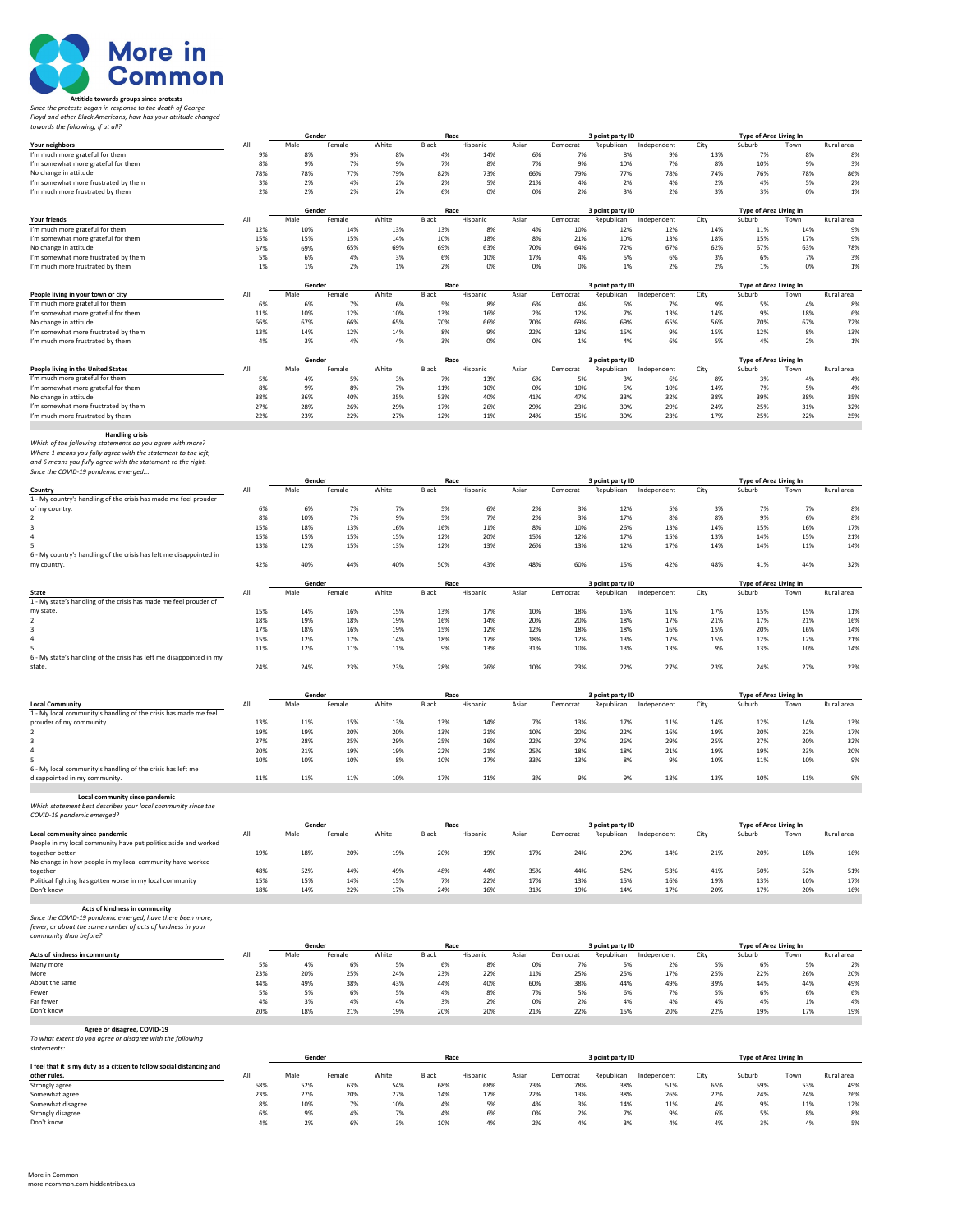

## **Attitide towards groups since protests<br>Since the protests began in response to the death of George<br>Floyd and other Black Americans, how has your attitude changed<br>towards the following, if at all?**

|                                                                                                 |            | Gender      |               |              | Race         |                 |             |                 | 3 point party ID  |                    |             | Type of Area Living In |             |            |
|-------------------------------------------------------------------------------------------------|------------|-------------|---------------|--------------|--------------|-----------------|-------------|-----------------|-------------------|--------------------|-------------|------------------------|-------------|------------|
| Your neighbors                                                                                  | AI<br>9%   | Male<br>8%  | Female<br>9%  | White<br>8%  | Black<br>4%  | Hispanic<br>14% | Asian<br>6% | Democrat<br>7%  | Republican<br>8%  | Independent<br>9%  | City<br>13% | Suburb                 | Town        | Rural area |
| I'm much more grateful for them<br>I'm somewhat more grateful for them                          | 8%         | 9%          | 7%            | 9%           | 7%           | 8%              | 7%          | 9%              | 10%               | 7%                 | 8%          | 7%<br>10%              | 8%<br>9%    | 8%<br>3%   |
| No change in attitude                                                                           | 78%        | 78%         | 77%           | 79%          | 82%          | 73%             | 66%         | 79%             | 77%               | 78%                | 74%         | 76%                    | 78%         | 86%        |
| I'm somewhat more frustrated by them                                                            | 3%         | 2%          | 4%            | 2%           | 2%           | 5%              | 21%         | 4%              | 2%                | 4%                 | 2%          | 4%                     | 5%          | 2%         |
| I'm much more frustrated by them                                                                | 2%         | 2%          | 2%            | 2%           | 6%           | 0%              | 0%          | 2%              | 3%                | 2%                 | 3%          | 3%                     | 0%          | 1%         |
|                                                                                                 |            |             |               |              |              |                 |             |                 |                   |                    |             |                        |             |            |
| <b>Your friends</b>                                                                             | All        | Gender      |               |              | Race         |                 |             |                 | 3 point party ID  |                    |             | Type of Area Living In |             | Rural area |
| I'm much more grateful for them                                                                 | 12%        | Male<br>10% | Female<br>14% | White<br>13% | Black<br>13% | Hispanic<br>8%  | Asian<br>4% | Democrat<br>10% | Republican<br>12% | Independent<br>12% | City<br>14% | Suburb<br>11%          | Town<br>14% | 9%         |
| I'm somewhat more grateful for them                                                             | 15%        | 15%         | 15%           | 14%          | 10%          | 18%             | 8%          | 21%             | 10%               | 13%                | 18%         | 15%                    | 17%         | 9%         |
| No change in attitude                                                                           | 67%        | 69%         | 65%           | 69%          | 69%          | 63%             | 70%         | 64%             | 72%               | 67%                | 62%         | 67%                    | 63%         | 78%        |
| I'm somewhat more frustrated by them                                                            | 5%         | 6%          | 4%            | 3%           | 6%           | 10%             | 17%         | 4%              | 5%                | 6%                 | 3%          | 6%                     | 7%          | 3%         |
| I'm much more frustrated by them                                                                | 1%         | 1%          | 2%            | 1%           | 2%           | 0%              | 0%          | 0%              | 1%                | 2%                 | 2%          | 1%                     | 0%          | 1%         |
|                                                                                                 |            |             |               |              |              |                 |             |                 |                   |                    |             |                        |             |            |
|                                                                                                 |            | Gender      |               |              | Race         |                 |             |                 | 3 point party ID  |                    |             | Type of Area Living In |             |            |
| People living in your town or city                                                              | All        | Male        | Female        | White        | Black        | Hispanic        | Asian       | Democrat        | Republican        | Independent        | City        | Suburb                 | Town        | Rural area |
| I'm much more grateful for them                                                                 | 6%         | 6%          | 7%            | 6%           | 5%           | 8%              | 6%          | 4%              | 6%                | 7%                 | 9%          | 5%                     | 4%          | 8%         |
| I'm somewhat more grateful for them                                                             | 11%        | 10%         | 12%           | 10%          | 13%          | 16%             | 2%          | 12%             | 7%                | 13%                | 14%         | 9%                     | 18%         | 6%         |
| No change in attitude                                                                           | 66%        | 67%         | 66%           | 65%          | 70%          | 66%             | 70%         | 69%             | 69%               | 65%                | 56%         | 70%                    | 67%         | 72%        |
| I'm somewhat more frustrated by them                                                            | 13%<br>4%  | 14%<br>3%   | 12%<br>4%     | 14%<br>4%    | 8%<br>3%     | 9%<br>0%        | 22%<br>0%   | 13%<br>1%       | 15%<br>4%         | 9%<br>6%           | 15%<br>5%   | 12%<br>4%              | 8%<br>2%    | 13%<br>1%  |
| I'm much more frustrated by them                                                                |            |             |               |              |              |                 |             |                 |                   |                    |             |                        |             |            |
|                                                                                                 |            | Gender      |               |              | Race         |                 |             |                 | 3 point party ID  |                    |             | Type of Area Living In |             |            |
| People living in the United States                                                              | All        | Male        | Female        | White        | Black        | Hispanic        | Asian       | Democrat        | Republican        | Independent        | City        | Suburb                 | Town        | Rural area |
| I'm much more grateful for them                                                                 | 5%         | 4%          | 5%            | 3%           | 7%           | 13%             | 6%          | 5%              | 3%                | 6%                 | 8%          | 3%                     | 4%          | 4%         |
| I'm somewhat more grateful for them                                                             | 8%         | 9%          | 8%            | 7%           | 11%          | 10%             | 0%          | 10%             | 5%                | 10%                | 14%         | 7%                     | 5%          | 4%         |
| No change in attitude                                                                           | 38%        | 36%         | 40%           | 35%          | 53%          | 40%             | 41%         | 47%             | 33%               | 32%                | 38%         | 39%                    | 38%         | 35%        |
| I'm somewhat more frustrated by them                                                            | 27%        | 28%         | 26%           | 29%          | 17%          | 26%             | 29%         | 23%             | 30%               | 29%                | 24%         | 25%                    | 31%         | 32%        |
| I'm much more frustrated by them                                                                | 22%        | 23%         | 22%           | 27%          | 12%          | 11%             | 24%         | 15%             | 30%               | 23%                | 17%         | 25%                    | 22%         | 25%        |
|                                                                                                 |            |             |               |              |              |                 |             |                 |                   |                    |             |                        |             |            |
| <b>Handling crisis</b><br>Which of the following statements do you agree with more?             |            |             |               |              |              |                 |             |                 |                   |                    |             |                        |             |            |
| Where 1 means you fully agree with the statement to the left,                                   |            |             |               |              |              |                 |             |                 |                   |                    |             |                        |             |            |
| and 6 means you fully agree with the statement to the right.                                    |            |             |               |              |              |                 |             |                 |                   |                    |             |                        |             |            |
| Since the COVID-19 pandemic emerged                                                             |            |             |               |              |              |                 |             |                 |                   |                    |             |                        |             |            |
|                                                                                                 |            | Gender      |               |              | Race         |                 |             |                 | 3 point party ID  |                    |             | Type of Area Living In |             |            |
| Country                                                                                         | All        | Male        | Female        | White        | Black        | Hispanic        | Asian       | Democrat        | Republican        | Independent        | City        | Suburb                 | Town        | Rural area |
| 1 - My country's handling of the crisis has made me feel prouder                                |            |             |               |              |              |                 |             |                 |                   |                    |             |                        |             |            |
| of my country.                                                                                  | 6%         | 6%          | 7%            | 7%           | 5%           | 6%              | 2%          | 3%              | 12%               | 5%                 | 3%          | 7%                     | 7%          | 8%         |
|                                                                                                 | 8%         | 10%         | 7%            | 9%           | 5%           | 7%              | 2%          | 3%              | 17%               | 8%                 | 8%          | 9%                     | 6%          | 8%         |
|                                                                                                 | 15%        | 18%         | 13%           | 16%          | 16%          | 11%             | 8%          | 10%             | 26%               | 13%                | 14%         | 15%                    | 16%         | 17%        |
|                                                                                                 | 15%        | 15%         | 15%           | 15%          | 12%          | 20%             | 15%         | 12%             | 17%               | 15%                | 13%         | 14%                    | 15%         | 21%        |
|                                                                                                 | 13%        | 12%         | 15%           | 13%          | 12%          | 13%             | 26%         | 13%             | 12%               | 17%                | 14%         | 14%                    | 11%         | 14%        |
| 6 - My country's handling of the crisis has left me disappointed in                             | 42%        | 40%         | 44%           | 40%          | 50%          | 43%             | 48%         | 60%             | 15%               | 42%                | 48%         | 41%                    | 44%         | 32%        |
| my country                                                                                      |            |             |               |              |              |                 |             |                 |                   |                    |             |                        |             |            |
|                                                                                                 |            | Gender      |               |              | Race         |                 |             |                 | 3 point party ID  |                    |             | Type of Area Living In |             |            |
| <b>State</b>                                                                                    | All        | Male        | Female        | White        | Black        | Hispanic        | Asian       | Democrat        | Republican        | Independent        | City        | Suburb                 | Town        | Rural area |
| 1 - My state's handling of the crisis has made me feel prouder of                               |            |             |               |              |              |                 |             |                 |                   |                    |             |                        |             |            |
| my state.                                                                                       | 15%        | 14%         | 16%           | 15%          | 13%          | 17%             | 10%         | 18%             | 16%               | 11%                | 17%         | 15%                    | 15%         | 11%        |
|                                                                                                 | 18%        | 19%         | 18%           | 19%          | 16%          | 14%             | 20%         | 20%             | 18%               | 17%                | 21%         | 17%                    | 21%         | 16%        |
|                                                                                                 | 17%        | 18%         | 16%           | 19%          | 15%          | 12%             | 12%         | 18%             | 18%               | 16%                | 15%         | 20%                    | 16%         | 14%        |
|                                                                                                 | 15%        | 12%         | 17%           | 14%          | 18%          | 17%             | 18%         | 12%             | 13%               | 17%                | 15%         | 12%                    | 12%         | 21%        |
|                                                                                                 | 11%        | 12%         | 11%           | 11%          | 9%           | 13%             | 31%         | 10%             | 13%               | 13%                | 9%          | 13%                    | 10%         | 14%        |
| 6 - My state's handling of the crisis has left me disappointed in my                            |            |             |               |              |              |                 |             |                 |                   |                    |             |                        |             |            |
| state                                                                                           | 24%        | 24%         | 23%           | 23%          | 28%          | 26%             | 10%         | 23%             | 22%               | 27%                | 23%         | 24%                    | 27%         | 23%        |
|                                                                                                 |            |             |               |              |              |                 |             |                 |                   |                    |             |                        |             |            |
|                                                                                                 |            | Gender      |               |              | Race         |                 |             |                 | 3 point party ID  |                    |             | Type of Area Living In |             |            |
| <b>Local Community</b>                                                                          | All        | Male        | Female        | White        | Black        | Hispanic        | Asian       | Democrat        | Republican        | Independent        | City        | Suburb                 | Town        | Rural area |
| 1 - My local community's handling of the crisis has made me feel                                |            |             |               |              |              |                 |             |                 |                   |                    |             |                        |             |            |
| prouder of my community.                                                                        | 13%        | 11%         | 15%           | 13%          | 13%          | 14%             | 7%          | 13%             | 17%               | 11%                | 14%         | 12%                    | 14%         | 13%        |
|                                                                                                 | 19%        | 19%         | 20%           | 20%          | 13%          | 21%             | 10%         | 20%             | 22%               | 16%                | 19%         | 20%                    | 22%         | 17%        |
|                                                                                                 | 27%        | 28%         | 25%           | 29%          | 25%          | 16%             | 22%         | 27%             | 26%               | 29%                | 25%         | 27%                    | 20%         | 32%        |
|                                                                                                 | 20%        | 21%         | 19%           | 19%          | 22%          | 21%             | 25%         | 18%             | 18%               | 21%                | 19%         | 19%                    | 23%         | 20%        |
|                                                                                                 | 10%        | 10%         | 10%           | 8%           | 10%          | 17%             | 33%         | 13%             | 8%                | 9%                 | 10%         | 11%                    | 10%         | 9%         |
| 6 - My local community's handling of the crisis has left me                                     |            |             |               |              |              |                 |             |                 |                   |                    |             |                        |             |            |
| disappointed in my community.                                                                   | 11%        | 11%         | 11%           | 10%          | 17%          | 11%             | 3%          | 9%              | 9%                | 13%                | 13%         | 10%                    | 11%         | 9%         |
|                                                                                                 |            |             |               |              |              |                 |             |                 |                   |                    |             |                        |             |            |
| Local community since pandemic<br>Which statement best describes your local community since the |            |             |               |              |              |                 |             |                 |                   |                    |             |                        |             |            |
| COVID-19 pandemic emerged?                                                                      |            |             |               |              |              |                 |             |                 |                   |                    |             |                        |             |            |
|                                                                                                 |            | Gender      |               |              | Race         |                 |             |                 | 3 point party ID  |                    |             | Type of Area Living In |             |            |
| Local community since pandemic                                                                  | All        | Male        | Female        | White        | Black        | Hispanic        | Asian       | Democrat        | Republican        | Independent        | City        | Suburb                 | Town        | Rural area |
| People in my local community have put politics aside and worked                                 |            |             |               |              |              |                 |             |                 |                   |                    |             |                        |             |            |
| together better                                                                                 | 19%        | 18%         | 20%           | 19%          | 20%          | 19%             | 17%         | 24%             | 20%               | 14%                | 21%         | 20%                    | 18%         | 16%        |
| No change in how people in my local community have worked                                       |            |             |               |              |              |                 |             |                 |                   |                    |             |                        |             |            |
| together                                                                                        | 48%        | 52%         | 44%           | 49%          | 48%          | 44%             | 35%         | 44%             | 52%               | 53%                | 41%         | 50%                    | 52%         | 51%        |
| Political fighting has gotten worse in my local community                                       | 15%<br>18% | 15%         | 14%<br>22%    | 15%<br>17%   | 7%<br>24%    | 22%             | 17%<br>31%  | 13%<br>19%      | 15%<br>14%        | 16%<br>17%         | 19%         | 13%<br>17%             | 10%         | 17%        |
| Don't know                                                                                      |            | 14%         |               |              |              | 16%             |             |                 |                   |                    | 20%         |                        | 20%         | 16%        |
| Acts of kindness in community                                                                   |            |             |               |              |              |                 |             |                 |                   |                    |             |                        |             |            |
| Since the COVID-19 pandemic emerged, have there been more,                                      |            |             |               |              |              |                 |             |                 |                   |                    |             |                        |             |            |
| fewer, or about the same number of acts of kindness in your                                     |            |             |               |              |              |                 |             |                 |                   |                    |             |                        |             |            |
| community than before?                                                                          |            |             |               |              |              |                 |             |                 |                   |                    |             |                        |             |            |
|                                                                                                 |            | Gender      |               |              | Race         |                 |             |                 | 3 point party ID  |                    |             | Type of Area Living In |             |            |
| Acts of kindness in community                                                                   | All        | Male        | Female        | White        | Black        | Hispanic        | Asian       | Democrat        | Republican        | Independent        | City        | Suburb                 | Town        | Rural area |
| Many more                                                                                       | 5%         | 4%          | 6%            | 5%           | 6%           | 8%              | 0%          | 7%              | 5%                | 2%                 | 5%          | 6%                     | 5%          | 2%         |
| More                                                                                            | 23%        | 20%         | 25%           | 24%          | 23%          | 22%             | 11%         | 25%             | 25%               | 17%                | 25%         | 22%                    | 26%         | 20%        |
| About the same                                                                                  | 44%        | 49%         | 38%           | 43%          | 44%          | 40%             | 60%         | 38%             | 44%               | 49%                | 39%         | 44%                    | 44%         | 49%        |
| Fewer                                                                                           | 5%         | 5%          | 6%            | 5%           | 4%           | 8%              | 7%          | 5%              | 6%                | 7%                 | 5%          | 6%                     | 6%          | 6%         |
| Far fewer<br>Don't know                                                                         | 4%<br>20%  | 3%<br>18%   | 4%<br>21%     | 4%<br>19%    | 3%<br>20%    | 2%              | 0%<br>21%   | 2%<br>22%       | 4%<br>15%         | 4%<br>20%          | 4%<br>22%   | 4%<br>19%              | 1%          | 4%         |
|                                                                                                 |            |             |               |              |              | 20%             |             |                 |                   |                    |             |                        | 17%         | 19%        |
| Agree or disagree, COVID-19                                                                     |            |             |               |              |              |                 |             |                 |                   |                    |             |                        |             |            |
| To what extent do you agree or disagree with the following                                      |            |             |               |              |              |                 |             |                 |                   |                    |             |                        |             |            |
| statements:                                                                                     |            |             |               |              |              |                 |             |                 |                   |                    |             |                        |             |            |
|                                                                                                 |            | Gender      |               |              | Race         |                 |             |                 | 3 point party ID  |                    |             | Type of Area Living In |             |            |
| I feel that it is my duty as a citizen to follow social distancing and                          |            |             |               |              |              |                 |             |                 |                   |                    |             |                        |             |            |
| other rules                                                                                     | All        | Male        | Female        | White        | Black        | Hispanic        | Asian       | Democrat        | Republican        | Independent        | City        | Suburb                 | Town        | Rural area |
| Strongly agree                                                                                  | 58%        | 52%         | 63%           | 54%          | 68%          | 68%             | 73%         | 78%             | 38%               | 51%                | 65%         | 59%                    | 53%         | 49%        |
| Somewhat agree                                                                                  | 23%        | 27%         | 20%           | 27%          | 14%          | 17%             | 22%         | 13%             | 38%               | 26%                | 22%         | 24%                    | 24%         | 26%        |
| Somewhat disagree                                                                               | 8%         | 10%         | 7%            | 10%          | 4%           | 5%              | 4%          | 3%              | 14%               | 11%                | 4%          | 9%                     | 11%         | 12%        |
| Strongly disagree                                                                               | 6%         | 9%          | 4%            | 7%           | 4%           | 6%              | 0%          | 2%              | 7%                | 9%                 | 6%          | 5%                     | 8%          | 8%         |

Don't know 4% 2% 6% 3% 10% 4% 2% 4% 3% 4% 4% 3% 4% 5%

more in common.com hiddentribes.us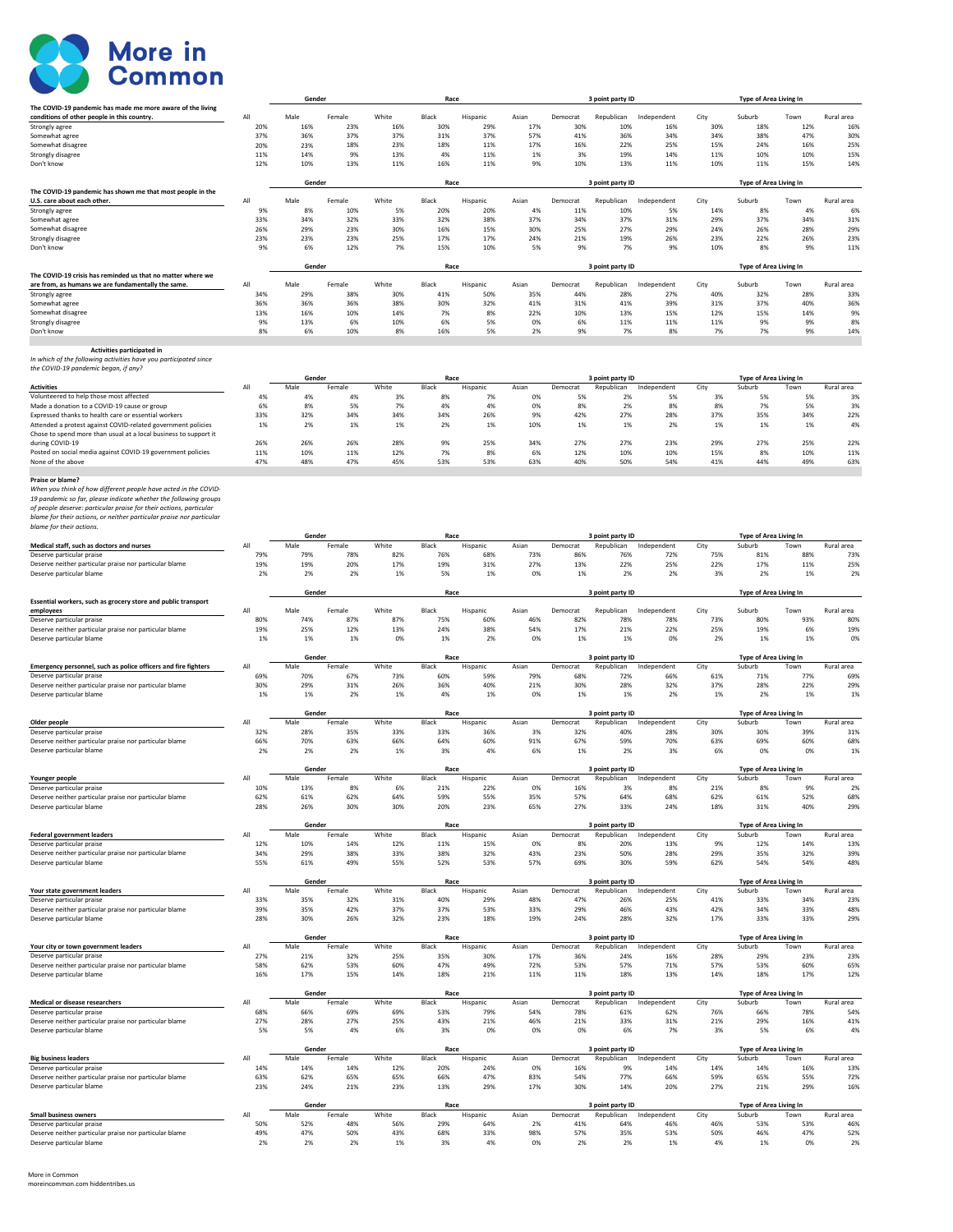

|                                                                                                                                        |            | Gender         |               |              | Race          |                 |             |            | 3 point party ID               |                    |             | <b>Type of Area Living In</b>    |             |                   |
|----------------------------------------------------------------------------------------------------------------------------------------|------------|----------------|---------------|--------------|---------------|-----------------|-------------|------------|--------------------------------|--------------------|-------------|----------------------------------|-------------|-------------------|
| The COVID-19 pandemic has made me more aware of the living<br>conditions of other people in this country.                              | All        | Male           | Female        | White        | Black         | Hispanic        | Asian       | Democrat   | Republican                     | Independent        | City        | Suburb                           | Town        | Rural area        |
| Strongly agree                                                                                                                         | 20%        | 16%            | 23%           | 16%          | 30%           | 29%             | 17%         | 30%        | 10%                            | 16%                | 30%         | 18%                              | 12%         | 16%               |
| Somewhat agree                                                                                                                         | 37%        | 36%            | 37%           | 37%          | 31%           | 37%             | 57%         | 41%        | 36%                            | 34%                | 34%         | 38%                              | 47%         | 30%               |
| Somewhat disagree                                                                                                                      | 20%        | 23%            | 18%           | 23%          | 18%           | 11%             | 17%         | 16%        | 22%                            | 25%                | 15%         | 24%                              | 16%         | 25%               |
| Strongly disagree                                                                                                                      | 11%        | 14%            | 9%            | 13%          | 4%            | 11%             | 1%          | 3%         | 19%                            | 14%                | 11%         | 10%                              | 10%         | 15%               |
| Don't know                                                                                                                             | 12%        | 10%            | 13%           | 11%          | 16%           | 11%             | 9%          | 10%        | 13%                            | 11%                | 10%         | 11%                              | 15%         | 14%               |
|                                                                                                                                        |            | Gender         |               |              | Race          |                 |             |            | 3 point party ID               |                    |             | Type of Area Living In           |             |                   |
| The COVID-19 pandemic has shown me that most people in the                                                                             |            |                |               |              |               |                 |             |            |                                |                    |             |                                  |             |                   |
| U.S. care about each other.                                                                                                            | All        | Male           | Female        | White        | Black         | Hispanic        | Asian       | Democrat   | Republican                     | Independent        | City        | Suburb                           | Town        | Rural area        |
| Strongly agree                                                                                                                         | 9%         | 8%             | 10%           | 5%           | 20%           | 20%             | 4%          | 11%        | 10%                            | 5%                 | 14%         | 8%                               | 4%          | 69                |
| Somewhat agree                                                                                                                         | 33%        | 34%            | 32%           | 33%          | 32%           | 38%             | 37%         | 34%        | 37%                            | 31%                | 29%         | 37%                              | 34%         | 31%               |
| Somewhat disagree<br>Strongly disagree                                                                                                 | 26%<br>23% | 29%<br>23%     | 23%<br>23%    | 30%<br>25%   | 16%<br>17%    | 15%<br>17%      | 30%<br>24%  | 25%<br>21% | 27%<br>19%                     | 29%<br>26%         | 24%<br>23%  | 26%<br>22%                       | 28%<br>26%  | 29%<br>23%        |
| Don't know                                                                                                                             | 9%         | 6%             | 12%           | 7%           | 15%           | 10%             | 5%          | 9%         | 7%                             | 9%                 | 10%         | 8%                               | 9%          | 11%               |
|                                                                                                                                        |            |                |               |              |               |                 |             |            |                                |                    |             |                                  |             |                   |
|                                                                                                                                        |            | Gender         |               |              | Race          |                 |             |            | 3 point party ID               |                    |             | Type of Area Living In           |             |                   |
| The COVID-19 crisis has reminded us that no matter where we                                                                            |            |                |               |              |               |                 |             |            |                                |                    |             |                                  |             |                   |
| are from, as humans we are fundamentally the same.                                                                                     | All        | Male           | Female        | White        | Black         | Hispanic        | Asian       | Democrat   | Republican                     | Independent        | City        | Suburb                           | Town        | Rural area        |
| Strongly agree<br>Somewhat agree                                                                                                       | 34%<br>36% | 29%<br>36%     | 38%<br>36%    | 30%<br>38%   | 41%<br>30%    | 50%<br>32%      | 35%<br>41%  | 44%<br>31% | 28%<br>41%                     | 27%<br>39%         | 40%<br>31%  | 32%<br>37%                       | 28%<br>40%  | 33%<br>36%        |
| Somewhat disagree                                                                                                                      | 13%        | 16%            | 10%           | 14%          | 7%            | 8%              | 22%         | 10%        | 13%                            | 15%                | 12%         | 15%                              | 14%         | 9%                |
| Strongly disagree                                                                                                                      | 9%         | 13%            | 6%            | 10%          | 6%            | 5%              | 0%          | 6%         | 11%                            | 11%                | 11%         | 9%                               | 9%          | 8%                |
| Don't know                                                                                                                             | 8%         | 6%             | 10%           | 8%           | 16%           | 5%              | 2%          | 9%         | 7%                             | 8%                 | 7%          | 7%                               | 9%          | 14%               |
|                                                                                                                                        |            |                |               |              |               |                 |             |            |                                |                    |             |                                  |             |                   |
| Activities participated in                                                                                                             |            |                |               |              |               |                 |             |            |                                |                    |             |                                  |             |                   |
| In which of the following activities have you participated since<br>the COVID-19 pandemic began, if any?                               |            |                |               |              |               |                 |             |            |                                |                    |             |                                  |             |                   |
|                                                                                                                                        |            | Gender         |               |              | Race          |                 |             |            | 3 point party ID               |                    |             | Type of Area Living In           |             |                   |
| <b>Activities</b>                                                                                                                      | All        | Male           | Female        | White        | Black         | Hispanic        | Asian       | Democrat   | Republican                     | Independent        | City        | Suburb                           | Town        | Rural area        |
| Volunteered to help those most affected                                                                                                | 4%         | 4%             | 4%            | 3%           | 8%            | 7%              | 0%          | 5%         | 2%                             | 5%                 | 3%          | 5%                               | 5%          | 3%                |
| Made a donation to a COVID-19 cause or group                                                                                           | 6%         | 8%             | 5%            | 7%           | 4%            | 4%              | 0%          | 8%         | 2%                             | 8%                 | 8%          | 7%                               | 5%          | 3%                |
| Expressed thanks to health care or essential workers                                                                                   | 33%        | 32%            | 34%           | 34%          | 34%           | 26%             | 9%          | 42%        | 27%                            | 28%                | 37%         | 35%                              | 34%         | 22%               |
| Attended a protest against COVID-related government policies                                                                           | 1%         | 2%             | 1%            | 1%           | 2%            | 1%              | 10%         | 1%         | 1%                             | 2%                 | 1%          | 1%                               | 1%          | 4%                |
| Chose to spend more than usual at a local business to support it<br>during COVID-19                                                    | 26%        | 26%            | 26%           | 28%          | 9%            | 25%             | 34%         | 27%        | 27%                            | 23%                | 29%         | 27%                              | 25%         | 22%               |
| Posted on social media against COVID-19 government policies                                                                            | 11%        | 10%            | 11%           | 12%          | 7%            | 8%              | 6%          | 12%        | 10%                            | 10%                | 15%         | 8%                               | 10%         | 11%               |
| None of the above                                                                                                                      | 47%        | 48%            | 47%           | 45%          | 53%           | 53%             | 63%         | 40%        | 50%                            | 54%                | 41%         | 44%                              | 49%         | 63%               |
|                                                                                                                                        |            |                |               |              |               |                 |             |            |                                |                    |             |                                  |             |                   |
| Praise or blame?                                                                                                                       |            |                |               |              |               |                 |             |            |                                |                    |             |                                  |             |                   |
| When you think of how different people have acted in the COVID-                                                                        |            |                |               |              |               |                 |             |            |                                |                    |             |                                  |             |                   |
| 19 pandemic so far, please indicate whether the following groups<br>of people deserve: particular praise for their actions, particular |            |                |               |              |               |                 |             |            |                                |                    |             |                                  |             |                   |
| blame for their actions, or neither particular praise nor particular                                                                   |            |                |               |              |               |                 |             |            |                                |                    |             |                                  |             |                   |
| blame for their actions.                                                                                                               |            |                |               |              |               |                 |             |            |                                |                    |             |                                  |             |                   |
|                                                                                                                                        |            | Gender         |               |              | Race          |                 |             |            | 3 point party ID               |                    |             | Type of Area Living In           |             |                   |
| Medical staff, such as doctors and nurses                                                                                              | All        | Male           | Female        | White        | Black         | Hispanic        | Asian       | Democrat   | Republican                     | Independent        | City        | Suburb                           | Town        | Rural area        |
| Deserve particular praise                                                                                                              | 79%        | 79%            | 78%           | 82%          | 76%           | 68%             | 73%         | 86%        | 76%                            | 72%                | 75%         | 81%                              | 88%         | 73%               |
| Deserve neither particular praise nor particular blame<br>Deserve particular blame                                                     | 19%<br>2%  | 19%<br>2%      | 20%<br>2%     | 17%<br>1%    | 19%<br>5%     | 31%<br>1%       | 27%<br>0%   | 13%<br>1%  | 22%<br>2%                      | 25%<br>2%          | 22%<br>3%   | 17%<br>2%                        | 11%<br>1%   | 25%<br>2%         |
|                                                                                                                                        |            |                |               |              |               |                 |             |            |                                |                    |             |                                  |             |                   |
|                                                                                                                                        |            | Gender         |               |              | Race          |                 |             |            | 3 point party ID               |                    |             | Type of Area Living In           |             |                   |
| Essential workers, such as grocery store and public transport                                                                          |            |                |               |              |               |                 |             |            |                                |                    |             |                                  |             |                   |
| employees                                                                                                                              | All        | Male           | Female        | White        | Black         | Hispanic        | Asian       | Democrat   | Republican                     | Independent        | City        | Suburb                           | Town        | Rural area        |
| Deserve particular praise                                                                                                              | 80%        | 74%            |               |              | 75%           |                 | 46%         | 82%        | 78%                            | 78%                | 73%         | 80%                              | 93%         | 80%               |
|                                                                                                                                        |            |                | 87%           | 87%          |               | 60%             |             |            |                                |                    |             |                                  |             |                   |
| Deserve neither particular praise nor particular blame                                                                                 | 19%        | 25%            | 12%           | 13%          | 24%           | 38%             | 54%         | 17%        | 21%                            | 22%                | 25%         | 19%                              | 6%          | 19%               |
| Deserve particular blame                                                                                                               | 1%         | 1%             | 1%            | 0%           | 1%            | 2%              | 0%          | 1%         | 1%                             | 0%                 | 2%          | 1%                               | 1%          | 0 <sup>9</sup>    |
|                                                                                                                                        |            | Gender         |               |              | Race          |                 |             |            |                                |                    |             |                                  |             |                   |
| Emergency personnel, such as police officers and fire fighters                                                                         | All        | Male           | Female        | White        | Black         | Hispanic        | Asian       | Democrat   | 3 point party ID<br>Republican | Independent        | City        | Type of Area Living In<br>Suburb | Town        | Rural area        |
| Deserve particular praise                                                                                                              | 69%        | 70%            | 67%           | 73%          | 60%           | 59%             | 79%         | 68%        | 72%                            | 66%                | 61%         | 71%                              | 77%         | 69%               |
| Deserve neither particular praise nor particular blame                                                                                 | 30%        | 29%            | 31%           | 26%          | 36%           | 40%             | 21%         | 30%        | 28%                            | 32%                | 37%         | 28%                              | 22%         | 29%               |
| Deserve particular blame                                                                                                               | 1%         | 1%             | 2%            | 1%           | 4%            | 1%              | 0%          | 1%         | 1%                             | 2%                 | 1%          | 2%                               | 1%          | 1%                |
|                                                                                                                                        |            |                |               |              |               |                 |             |            |                                |                    |             |                                  |             |                   |
|                                                                                                                                        | All        | Gender         | Female        | White        | Race          |                 | Asian       | Democrat   | 3 point party ID               |                    |             | Type of Area Living In           |             | Rural area        |
| Older people<br>Deserve particular praise                                                                                              | 32%        | Male<br>28%    | 35%           | 33%          | Black<br>33%  | Hispanic<br>36% | 3%          | 32%        | Republican<br>40%              | Independent<br>28% | City<br>30% | Suburb<br>30%                    | Town<br>39% | 319               |
| Deserve neither particular praise nor particular blame                                                                                 | 66%        | 70%            | 63%           | 66%          | 64%           | 60%             | 91%         | 67%        | 59%                            | 70%                | 63%         | 69%                              | 60%         | 68%               |
| Deserve particular blame                                                                                                               | 2%         | 2%             | 2%            | 1%           | 3%            | 4%              | 6%          | 1%         | 2%                             | 3%                 | 6%          | 0%                               | 0%          | 1%                |
|                                                                                                                                        |            |                |               |              |               |                 |             |            |                                |                    |             |                                  |             |                   |
|                                                                                                                                        |            | Gender         |               |              | Race          |                 |             |            | 3 point party ID               |                    |             | Type of Area Living In           |             |                   |
| Younger people                                                                                                                         | All        | Male           | Female        | White        | Black         | Hispanic        | Asian       | Democrat   | Republican                     | Independent        | City        | Suburb                           | Town        | Rural area        |
| Deserve particular praise                                                                                                              | 10%<br>62% | 13%<br>61%     | 8%            | 6%<br>64%    | 21%<br>59%    | 22%<br>55%      | 0%          | 16%<br>57% | 3%<br>64%                      | 8%<br>68%          | 21%<br>62%  | 8%<br>61%                        | 9%<br>52%   | 29<br>689         |
| Deserve neither particular praise nor particular blame<br>Deserve particular blame                                                     | 28%        | 26%            | 62%<br>30%    | 30%          | 20%           | 23%             | 35%<br>65%  | 27%        | 33%                            | 24%                | 18%         | 31%                              | 40%         | 29%               |
|                                                                                                                                        |            |                |               |              |               |                 |             |            |                                |                    |             |                                  |             |                   |
|                                                                                                                                        |            | Gender         |               |              | Race          |                 |             |            | 3 point party ID               |                    |             | Type of Area Living In           |             |                   |
| <b>Federal government leaders</b>                                                                                                      | All        | Male           | Female        | White        | Black         | Hispanic        | Asian       | Democrat   | Republican                     | Independent        | City        | Suburb                           | Town        | Rural area        |
| Deserve particular praise                                                                                                              | 12%        | 10%            | 14%           | 12%          | 11%           | 15%             | 0%          | 8%         | 20%                            | 13%                | 9%          | 12%                              | 14%         | 13%               |
| Deserve neither particular praise nor particular blame<br>Deserve particular blame                                                     | 34%<br>55% | 29%<br>61%     | 38%<br>49%    | 33%<br>55%   | 38%<br>52%    | 32%<br>53%      | 43%<br>57%  | 23%<br>69% | 50%<br>30%                     | 28%<br>59%         | 29%<br>62%  | 35%<br>54%                       | 32%<br>54%  | 39%<br>48%        |
|                                                                                                                                        |            |                |               |              |               |                 |             |            |                                |                    |             |                                  |             |                   |
|                                                                                                                                        |            | Gender         |               |              | Race          |                 |             |            | 3 point party ID               |                    |             | Type of Area Living In           |             |                   |
| Your state government leaders                                                                                                          | All        | Male           | Female        | White        | Black         | Hispanic        | Asian       | Democrat   | Republican                     | Independent        | City        | Suburb                           | Town        | Rural area        |
| Deserve particular praise                                                                                                              | 33%        | 35%            | 32%           | 31%          | 40%           | 29%             | 48%         | 47%        | 26%                            | 25%                | 41%         | 33%                              | 34%         | 23%               |
| Deserve neither particular praise nor particular blame                                                                                 | 39%        | 35%            | 42%           | 37%          | 37%           | 53%             | 33%         | 29%        | 46%                            | 43%                | 42%         | 34%                              | 33%         | 48%               |
| Deserve particular blame                                                                                                               | 28%        | 30%            | 26%           | 32%          | 23%           | 18%             | 19%         | 24%        | 28%                            | 32%                | 17%         | 33%                              | 33%         | 29%               |
|                                                                                                                                        |            | Gender         |               |              | Race          |                 |             |            | 3 point party ID               |                    |             | Type of Area Living In           |             |                   |
| Your city or town government leaders                                                                                                   | All        | Male           | Female        | White        | Black         | Hispanic        | Asian       | Democrat   | Republican                     | Independent        | City        | Suburb                           | Town        | Rural area        |
| Deserve particular praise                                                                                                              | 27%        | 21%            | 32%           | 25%          | 35%           | 30%             | 17%         | 36%        | 24%                            | 16%                | 28%         | 29%                              | 23%         | 23%               |
| Deserve neither particular praise nor particular blame                                                                                 | 58%        | 62%            | 53%           | 60%          | 47%           | 49%             | 72%         | 53%        | 57%                            | 71%                | 57%         | 53%                              | 60%         | 65%               |
| Deserve particular blame                                                                                                               | 16%        | 17%            | 15%           | 14%          | 18%           | 21%             | 11%         | 11%        | 18%                            | 13%                | 14%         | 18%                              | 17%         | 12%               |
|                                                                                                                                        |            | Gender         |               |              | Race          |                 |             |            | 3 point party ID               |                    |             | Type of Area Living In           |             |                   |
| Medical or disease researchers                                                                                                         | All        | Male           | Female        | White        | Black         | Hispanic        | Asian       | Democrat   | Republican                     | Independent        | City        | Suburb                           | Town        | Rural area        |
| Deserve particular praise                                                                                                              | 68%        | 66%            | 69%           | 69%          | 53%           | 79%             | 54%         | 78%        | 61%                            | 62%                | 76%         | 66%                              | 78%         | 54%               |
| Deserve neither particular praise nor particular blame                                                                                 | 27%        | 28%            | 27%           | 25%          | 43%           | 21%             | 46%         | 21%        | 33%                            | 31%                | 21%         | 29%                              | 16%         | 41%               |
| Deserve particular blame                                                                                                               | 5%         | 5%             | 4%            | 6%           | 3%            | 0%              | 0%          | 0%         | 6%                             | 7%                 | 3%          | 5%                               | 6%          | 4%                |
|                                                                                                                                        |            |                |               |              |               |                 |             |            |                                |                    |             |                                  |             |                   |
|                                                                                                                                        | All        | Gender<br>Male | Female        | White        | Race<br>Black | Hispanic        | Asian       | Democrat   | 3 point party ID<br>Republican | Independent        |             | Type of Area Living In<br>Suburb | Town        | Rural area        |
| <b>Big business leaders</b><br>Deserve particular praise                                                                               | 14%        | 14%            | 14%           | 12%          | 20%           | 24%             | 0%          | 16%        | 9%                             | 14%                | City<br>14% | 14%                              | 16%         | 13%               |
| Deserve neither particular praise nor particular blame                                                                                 | 63%        | 62%            | 65%           | 65%          | 66%           | 47%             | 83%         | 54%        | 77%                            | 66%                | 59%         | 65%                              | 55%         | 72%               |
| Deserve particular blame                                                                                                               | 23%        | 24%            | 21%           | 23%          | 13%           | 29%             | 17%         | 30%        | 14%                            | 20%                | 27%         | 21%                              | 29%         | 16%               |
|                                                                                                                                        |            |                |               |              |               |                 |             |            |                                |                    |             |                                  |             |                   |
|                                                                                                                                        | All        | Gender         |               |              | Race          |                 |             |            | 3 point party ID               |                    |             | Type of Area Living In           |             |                   |
| <b>Small business owners</b>                                                                                                           | 50%        | Male<br>52%    | Female<br>48% | White<br>56% | Black<br>29%  | Hispanic<br>64% | Asian<br>2% | Democrat   | Republican                     | Independent<br>46% | City<br>46% | Suburb                           | Town<br>53% | Rural area<br>46% |
| Deserve particular praise<br>Deserve neither particular praise nor particular blame                                                    | 49%        | 47%            | 50%           | 43%          | 68%           | 33%             | 98%         | 41%<br>57% | 64%<br>35%                     | 53%                | 50%         | 53%<br>46%                       | 47%         | 52%               |
| Deserve particular blame                                                                                                               | 2%         | 2%             | 2%            | 1%           | 3%            | 4%              | 0%          | 2%         | 2%                             | 1%                 | 4%          | 1%                               | 0%          | 2%                |

More in Common moreincommon.com hiddentribes.us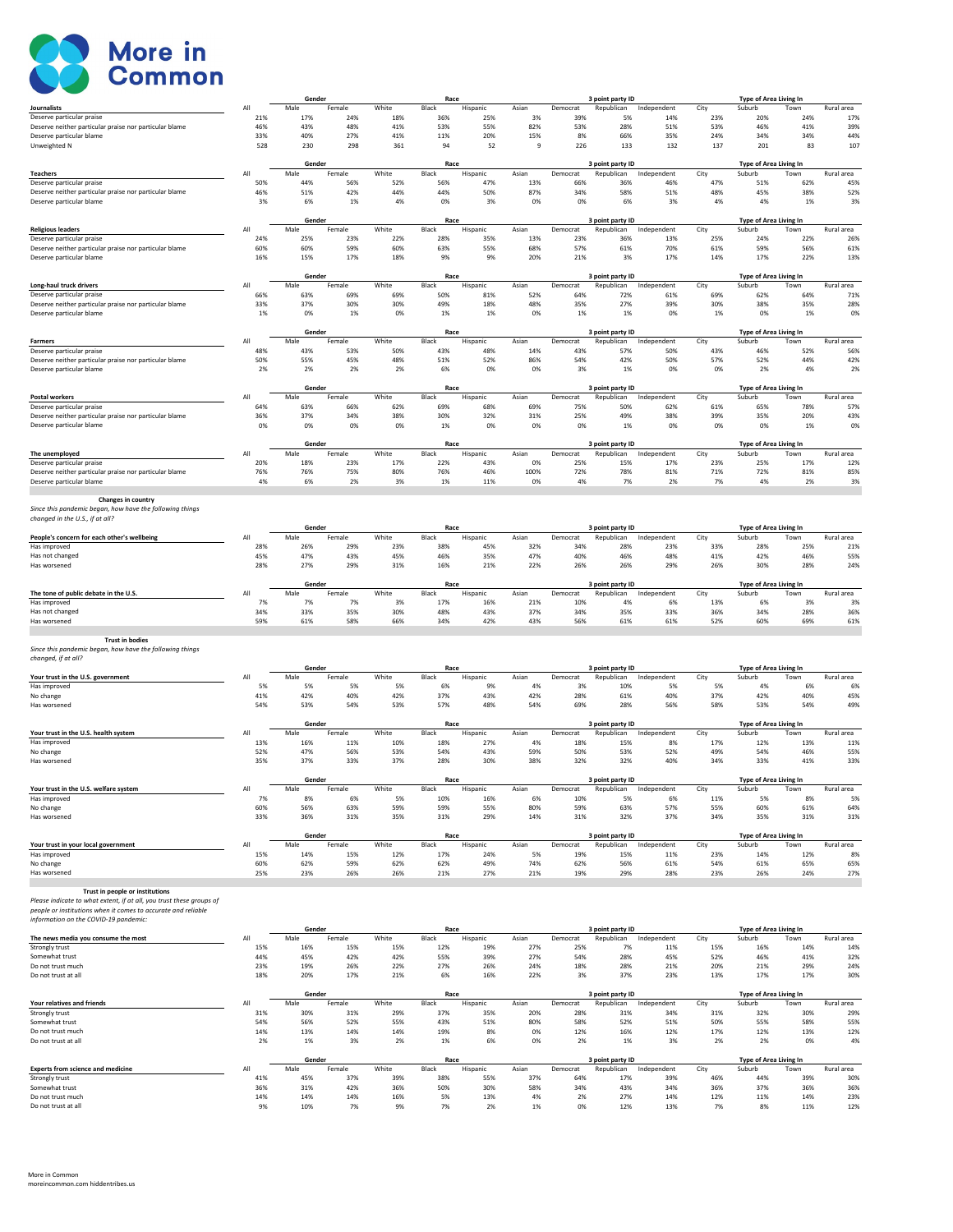

|                                                                                    |            | Gender         |            |            | Race          |                 |              |                 | 3 point party ID               |             |             | <b>Type of Area Living In</b>    |            |            |
|------------------------------------------------------------------------------------|------------|----------------|------------|------------|---------------|-----------------|--------------|-----------------|--------------------------------|-------------|-------------|----------------------------------|------------|------------|
| Journalists                                                                        | All        | Male           | Female     | White      | Black         | Hispanic        | Asian        | Democrat        | Republican                     | Independent | City        | Suburb                           | Town       | Rural area |
| Deserve particular praise                                                          | 21%        | 17%            | 24%        | 18%        | 36%           | 25%             | 3%           | 39%             | 5%                             | 14%         | 23%         | 20%                              | 24%        | 17%        |
| Deserve neither particular praise nor particular blame<br>Deserve particular blame | 46%<br>33% | 43%<br>40%     | 48%<br>27% | 41%<br>41% | 53%<br>11%    | 55%<br>20%      | 82%<br>15%   | 53%<br>8%       | 28%<br>66%                     | 51%<br>35%  | 53%<br>24%  | 46%<br>34%                       | 41%<br>34% | 39%<br>44% |
| Unweighted N                                                                       | 528        | 230            | 298        | 361        | 94            | 52              | $\mathbf{q}$ | 226             | 133                            | 132         | 137         | 201                              | 83         | 107        |
|                                                                                    |            |                |            |            |               |                 |              |                 |                                |             |             |                                  |            |            |
|                                                                                    |            | Gender         |            |            | Race          |                 |              |                 | 3 point party ID               |             |             | Type of Area Living In           |            |            |
| <b>Teachers</b>                                                                    | All        | Male           | Female     | White      | Black         | Hispanic        | Asian        | Democrat        | Republican                     | Independent | City        | Suburb                           | Town       | Rural area |
| Deserve particular praise                                                          | 50%        | 44%            | 56%        | 52%        | 56%           | 47%             | 13%          | 66%             | 36%                            | 46%         | 47%         | 51%                              | 62%        | 45%        |
| Deserve neither particular praise nor particular blame                             | 46%        | 51%            | 42%        | 44%        | 44%           | 50%             | 87%          | 34%             | 58%                            | 51%         | 48%         | 45%                              | 38%        | 52%        |
| Deserve particular blame                                                           | 3%         | 6%             | 1%         | 4%         | 0%            | 3%              | 0%           | 0%              | 6%                             | 3%          | 4%          | 4%                               | 1%         | 3%         |
|                                                                                    |            |                |            |            |               |                 |              |                 |                                |             |             |                                  |            |            |
|                                                                                    |            | Gender         |            |            | Race          |                 |              |                 | 3 point party ID               |             |             | Type of Area Living In           |            |            |
| <b>Religious leaders</b>                                                           | All        | Male           | Female     | White      | Black         | Hispanic        | Asian        | Democrat        | Republican                     | Independent | City        | Suburb                           | Town       | Rural area |
| Deserve particular praise                                                          | 24%        | 25%            | 23%        | 22%        | 28%           | 35%             | 13%          | 23%             | 36%                            | 13%         | 25%         | 24%                              | 22%        | 26%        |
| Deserve neither particular praise nor particular blame                             | 60%        | 60%            | 59%        | 60%        | 63%           | 55%             | 68%          | 57%             | 61%                            | 70%         | 61%         | 59%                              | 56%        | 61%        |
| Deserve particular blame                                                           | 16%        | 15%            | 17%        | 18%        | 9%            | 9%              | 20%          | 21%             | 3%                             | 17%         | 14%         | 17%                              | 22%        | 13%        |
|                                                                                    |            | Gender         |            |            | Race          |                 |              |                 |                                |             |             |                                  |            |            |
| Long-haul truck drivers                                                            | All        | Male           | Female     | White      | Black         | Hispanic        | Asian        | Democrat        | 3 point party ID<br>Republican | Independent | City        | Type of Area Living In<br>Suburb | Town       | Rural area |
| Deserve particular praise                                                          | 66%        | 63%            | 69%        | 69%        | 50%           | 81%             | 52%          | 64%             | 72%                            | 61%         | 69%         | 62%                              | 64%        | 71%        |
| Deserve neither particular praise nor particular blame                             | 33%        | 37%            | 30%        | 30%        | 49%           | 18%             | 48%          | 35%             | 27%                            | 39%         | 30%         | 38%                              | 35%        | 28%        |
| Deserve particular blame                                                           | 1%         | 0%             | 1%         | 0%         | 1%            | 1%              | 0%           | 1%              | 1%                             | 0%          | 1%          | 0%                               | 1%         | 0%         |
|                                                                                    |            |                |            |            |               |                 |              |                 |                                |             |             |                                  |            |            |
|                                                                                    |            | Gender         |            |            | Race          |                 |              |                 | 3 point party ID               |             |             | Type of Area Living In           |            |            |
| Farmers                                                                            | All        | Male           | Female     | White      | Black         | Hispanic        | Asian        | Democrat        | Republican                     | Independent | City        | Suburb                           | Town       | Rural area |
| Deserve particular praise                                                          | 48%        | 43%            | 53%        | 50%        | 43%           | 48%             | 14%          | 43%             | 57%                            | 50%         | 43%         | 46%                              | 52%        | 56%        |
| Deserve neither particular praise nor particular blame                             | 50%        | 55%            | 45%        | 48%        | 51%           | 52%             | 86%          | 54%             | 42%                            | 50%         | 57%         | 52%                              | 44%        | 42%        |
| Deserve particular blame                                                           | 2%         | 2%             | 2%         | 2%         | 6%            | 0%              | 0%           | 3%              | 1%                             | 0%          | 0%          | 2%                               | 4%         | 2%         |
|                                                                                    |            |                |            |            |               |                 |              |                 |                                |             |             |                                  |            |            |
|                                                                                    |            | Gender         |            |            | Race          |                 |              |                 | 3 point party ID               |             |             | Type of Area Living In           |            |            |
| Postal workers                                                                     | All        | Male           | Female     | White      | Black         | Hispanic        | Asian        | Democrat        | Republican                     | Independent | City        | Suburb                           | Town       | Rural area |
| Deserve particular praise                                                          | 64%        | 63%            | 66%        | 62%        | 69%           | 68%             | 69%          | 75%             | 50%                            | 62%         | 61%         | 65%                              | 78%        | 57%        |
| Deserve neither particular praise nor particular blame                             | 36%        | 37%            | 34%        | 38%        | 30%           | 32%             | 31%          | 25%             | 49%                            | 38%         | 39%         | 35%                              | 20%        | 43%        |
| Deserve particular blame                                                           | 0%         | 0%             | 0%         | 0%         | 1%            | 0%              | 0%           | 0%              | 1%                             | 0%          | 0%          | 0%                               | 1%         | 0%         |
|                                                                                    |            | Gender         |            |            | Race          |                 |              |                 | 3 point party ID               |             |             | Type of Area Living In           |            |            |
| The unemployed                                                                     | All        | Male           | Female     | White      | Black         | Hispanic        | Asian        | Democrat        | Republican                     | Independent | City        | Suburb                           | Town       | Rural area |
| Deserve particular praise                                                          | 20%        | 18%            | 23%        | 17%        | 22%           | 43%             | 0%           | 25%             | 15%                            | 17%         | 23%         | 25%                              | 17%        | 12%        |
| Deserve neither particular praise nor particular blame                             | 76%        | 76%            | 75%        | 80%        | 76%           | 46%             | 100%         | 72%             | 78%                            | 81%         | 71%         | 72%                              | 81%        | 85%        |
| Deserve particular blame                                                           | 4%         | 6%             | 2%         | 3%         | 1%            | 11%             | 0%           | 4%              | 7%                             | 2%          | 7%          | 4%                               | 2%         | 3%         |
|                                                                                    |            |                |            |            |               |                 |              |                 |                                |             |             |                                  |            |            |
| Changes in country                                                                 |            |                |            |            |               |                 |              |                 |                                |             |             |                                  |            |            |
| Since this pandemic began, how have the following things                           |            |                |            |            |               |                 |              |                 |                                |             |             |                                  |            |            |
| changed in the U.S., if at all?                                                    |            |                |            |            |               |                 |              |                 |                                |             |             |                                  |            |            |
|                                                                                    |            | Gender         |            |            | Race          |                 |              |                 | 3 point party ID               |             |             | Type of Area Living In           |            |            |
| People's concern for each other's wellbeing                                        | All        | Male           | Female     | White      | Black         | Hispanic        | Asian        | Democrat        | Republican                     | Independent | City        | Suburb                           | Town       | Rural area |
| Has improved                                                                       | 28%        | 26%            | 29%        | 23%        | 38%           | 45%             | 32%          | 34%             | 28%                            | 23%         | 33%         | 28%                              | 25%        | 21%        |
| Has not changed                                                                    | 45%        | 47%            | 43%        | 45%        | 46%           | 35%             | 47%          | 40%             | 46%                            | 48%         | 41%         | 42%                              | 46%        | 55%        |
| Has worsened                                                                       | 28%        | 27%            | 29%        | 31%        | 16%           | 21%             | 22%          | 26%             | 26%                            | 29%         | 26%         | 30%                              | 28%        | 24%        |
|                                                                                    |            |                |            |            |               |                 |              |                 |                                |             |             |                                  |            |            |
|                                                                                    |            | Gender         |            |            | Race          |                 |              |                 | 3 point party ID               |             |             | Type of Area Living In           |            |            |
| The tone of public debate in the U.S.                                              | All        | Male           | Female     | White      | Black         | Hispanic        | Asian        | Democrat        | Republican                     | Independent | City        | Suburb                           | Town       | Rural area |
| Has improved                                                                       | 7%<br>34%  | 7%             | 7%         | 3%         | 17%           | 16%             | 21%          | 10%             | 4%                             | 6%<br>33%   | 13%<br>36%  | 6%<br>34%                        | 3%<br>28%  | 3%<br>36%  |
| Has not changed<br>Has worsened                                                    | 59%        | 33%<br>61%     | 35%<br>58% | 30%<br>66% | 48%<br>34%    | 43%<br>42%      | 37%<br>43%   | 34%<br>56%      | 35%<br>61%                     | 61%         | 52%         | 60%                              | 69%        | 61%        |
|                                                                                    |            |                |            |            |               |                 |              |                 |                                |             |             |                                  |            |            |
| <b>Trust in bodies</b>                                                             |            |                |            |            |               |                 |              |                 |                                |             |             |                                  |            |            |
| Since this pandemic began, how have the following things                           |            |                |            |            |               |                 |              |                 |                                |             |             |                                  |            |            |
| changed, if at all?                                                                |            |                |            |            |               |                 |              |                 |                                |             |             |                                  |            |            |
|                                                                                    |            | Gender         |            |            | Race          |                 |              |                 | 3 point party ID               |             |             | Type of Area Living In           |            |            |
| Your trust in the U.S. government                                                  | All        | Male           | Female     | White      | Black         | Hispanic        | Asian        | Democrat        | Republican                     | Independent | City        | Suburb                           | Town       | Rural area |
| Has improved                                                                       | 5%         | 5%             | 5%         | 5%         | 6%            | 9%              | 4%           | 3%              | 10%                            | 5%          | 5%          | 4%                               | 6%         | 6%         |
| No change                                                                          | 41%        | 42%            | 40%        | 42%        | 37%           | 43%             | 42%          | 28%             | 61%                            | 40%         | 37%         | 42%                              | 40%        | 45%        |
| Has worsened                                                                       | 54%        | 53%            | 54%        | 53%        | 57%           | 48%             | 54%          | 69%             | 28%                            | 56%         | 58%         | 53%                              | 54%        | 49%        |
|                                                                                    |            |                |            |            |               |                 |              |                 |                                |             |             |                                  |            |            |
|                                                                                    |            | Gender         |            |            | Race          |                 |              |                 | 3 point party ID               |             |             | Type of Area Living In           |            |            |
| Your trust in the U.S. health system                                               | All        | Male           | Female     | White      | Black         | Hispanic        | Asian        | Democrat        | Republican                     | Independent | City        | Suburb                           | Town       | Rural area |
| Has improved                                                                       | 13%        | 16%            | 11%        | 10%        | 18%           | 27%             | 4%           | 18%             | 15%                            | 8%          | 17%         | 12%                              | 13%        | 11%        |
| No change                                                                          | 52%        | 47%            | 56%        | 53%        | 54%           | 43%             | 59%          | 50%             | 53%                            | 52%         | 49%         | 54%                              | 46%        | 55%        |
| Has worsened                                                                       | 35%        | 37%            | 33%        | 37%        | 28%           | 30%             | 38%          | 32%             | 32%                            | 40%         | 34%         | 33%                              | 41%        | 33%        |
|                                                                                    |            |                |            |            |               |                 |              |                 |                                |             |             |                                  |            |            |
| Your trust in the U.S. welfare system                                              | All        | Gender<br>Male | Female     | White      | Race<br>Black |                 | Asian        |                 | 3 point party ID<br>Republican | Independent |             | Type of Area Living In           | Town       | Rural area |
| Has improved                                                                       | 7%         | 8%             | 6%         | 5%         | 10%           | Hispanic<br>16% | 6%           | Democrat<br>10% | 5%                             | 6%          | City<br>11% | Suburb<br>5%                     | 8%         | 5%         |
| No change                                                                          | 60%        | 56%            | 63%        | 59%        | 59%           | 55%             | 80%          | 59%             | 63%                            | 57%         | 55%         | 60%                              | 61%        | 64%        |
| Has worsened                                                                       | 33%        | 36%            | 31%        | 35%        | 31%           | 29%             | 14%          | 31%             | 32%                            | 37%         | 34%         | 35%                              | 31%        | 31%        |
|                                                                                    |            |                |            |            |               |                 |              |                 |                                |             |             |                                  |            |            |
|                                                                                    |            | Gender         |            |            | Race          |                 |              |                 | 3 point party ID               |             |             | Type of Area Living In           |            |            |
| Your trust in your local government                                                | All        | Male           | Female     | White      | Black         | Hispanic        | Asian        | Democrat        | Republican                     | Independent | City        | Suburb                           | Town       | Rural area |
| Has improved                                                                       | 15%        | 14%            | 15%        | 12%        | 17%           | 24%             | 5%           | 19%             | 15%                            | 11%         | 23%         | 14%                              | 12%        | 8%         |
| No change                                                                          | 60%        | 62%            | 59%        | 62%        | 62%           | 49%             | 74%          | 62%             | 56%                            | 61%         | 54%         | 61%                              | 65%        | 65%        |
| Has worsened                                                                       | 25%        | 23%            | 26%        | 26%        | 21%           | 27%             | 21%          | 19%             | 29%                            | 28%         | 23%         | 26%                              | 24%        | 27%        |
|                                                                                    |            |                |            |            |               |                 |              |                 |                                |             |             |                                  |            |            |
| Trust in people or institutions                                                    |            |                |            |            |               |                 |              |                 |                                |             |             |                                  |            |            |
| Please indicate to what extent, if at all, you trust these groups of               |            |                |            |            |               |                 |              |                 |                                |             |             |                                  |            |            |
| people or institutions when it comes to accurate and reliable                      |            |                |            |            |               |                 |              |                 |                                |             |             |                                  |            |            |
| information on the COVID-19 pandemic:                                              |            |                |            |            |               |                 |              |                 |                                |             |             |                                  |            |            |
|                                                                                    |            | Gender         |            |            | Race          |                 |              |                 | 3 point party ID               |             |             | Type of Area Living In           |            |            |
| The news media you consume the most                                                | All        | Male           | Female     | White      | Black         | Hispanic        | Asian        | Democrat        | Republican                     | Independent | City        | Suburb                           | Town       | Rural area |
| Strongly trust                                                                     | 15%        | 16%            | 15%        | 15%        | 12%           | 19%             | 27%          | 25%             | 7%                             | 11%         | 15%         | 16%                              | 14%        | 14%        |
| Somewhat trust                                                                     | 44%        | 45%            | 42%        | 42%        | 55%           | 39%             | 27%          | 54%             | 28%                            | 45%         | 52%         | 46%                              | 41%        | 32%        |
| Do not trust much                                                                  | 23%        | 19%            | 26%        | 22%        | 27%           | 26%             | 24%          | 18%             | 28%                            | 21%         | 20%         | 21%                              | 29%        | 24%        |
| Do not trust at all                                                                | 18%        | 20%            | 17%        | 21%        | 6%            | 16%             | 22%          | 3%              | 37%                            | 23%         | 13%         | 17%                              | 17%        | 30%        |
|                                                                                    |            |                |            |            |               |                 |              |                 |                                |             |             |                                  |            |            |
|                                                                                    | All        | Gender         |            |            | Race          |                 |              |                 | 3 point party ID               |             |             | Type of Area Living In           |            |            |
| Your relatives and friends                                                         |            | Male           | Female     | White      | Black         | Hispanic        | Asian        | Democrat        | Republican                     | Independent | City        | Suburb                           | Town       | Rural area |
| Strongly trust<br>Somewhat trust                                                   | 31%<br>54% | 30%<br>56%     | 31%<br>52% | 29%<br>55% | 37%<br>43%    | 35%<br>51%      | 20%<br>80%   | 28%<br>58%      | 31%<br>52%                     | 34%<br>51%  | 31%<br>50%  | 32%<br>55%                       | 30%<br>58% | 29%<br>55% |
| Do not trust much                                                                  | 14%        | 13%            | 14%        | 14%        | 19%           | 8%              | 0%           | 12%             | 16%                            | 12%         | 17%         | 12%                              | 13%        | 12%        |
| Do not trust at all                                                                | 2%         | 1%             | 3%         | 2%         | 1%            | 6%              | 0%           | 2%              | 1%                             | 3%          | 2%          | 2%                               | 0%         | 4%         |
|                                                                                    |            |                |            |            |               |                 |              |                 |                                |             |             |                                  |            |            |
|                                                                                    |            | Gender         |            |            | Race          |                 |              |                 | 3 point party ID               |             |             | Type of Area Living In           |            |            |
| <b>Experts from science and medicine</b>                                           | All        | Male           | Female     | White      | Black         | Hispanic        | Asian        | Democrat        | Republican                     | Independent | City        | Suburb                           | Town       | Rural area |
| Strongly trust                                                                     | 41%        | 45%            | 37%        | 39%        | 38%           | 55%             | 37%          | 64%             | 17%                            | 39%         | 46%         | 44%                              | 39%        | 30%        |
| Somewhat trust                                                                     | 36%        | 31%            | 42%        | 36%        | 50%           | 30%             | 58%          | 34%             | 43%                            | 34%         | 36%         | 37%                              | 36%        | 36%        |
| Do not trust much                                                                  | 14%        | 14%            | 14%        | 16%        | 5%            | 13%             | 4%           | 2%              | 27%                            | 14%         | 12%         | 11%                              | 14%        | 23%        |
| Do not trust at all                                                                | 9%         | 10%            | 7%         | 9%         | 7%            | 2%              | 1%           | 0%              | 12%                            | 13%         | 7%          | 8%                               | 11%        | 12%        |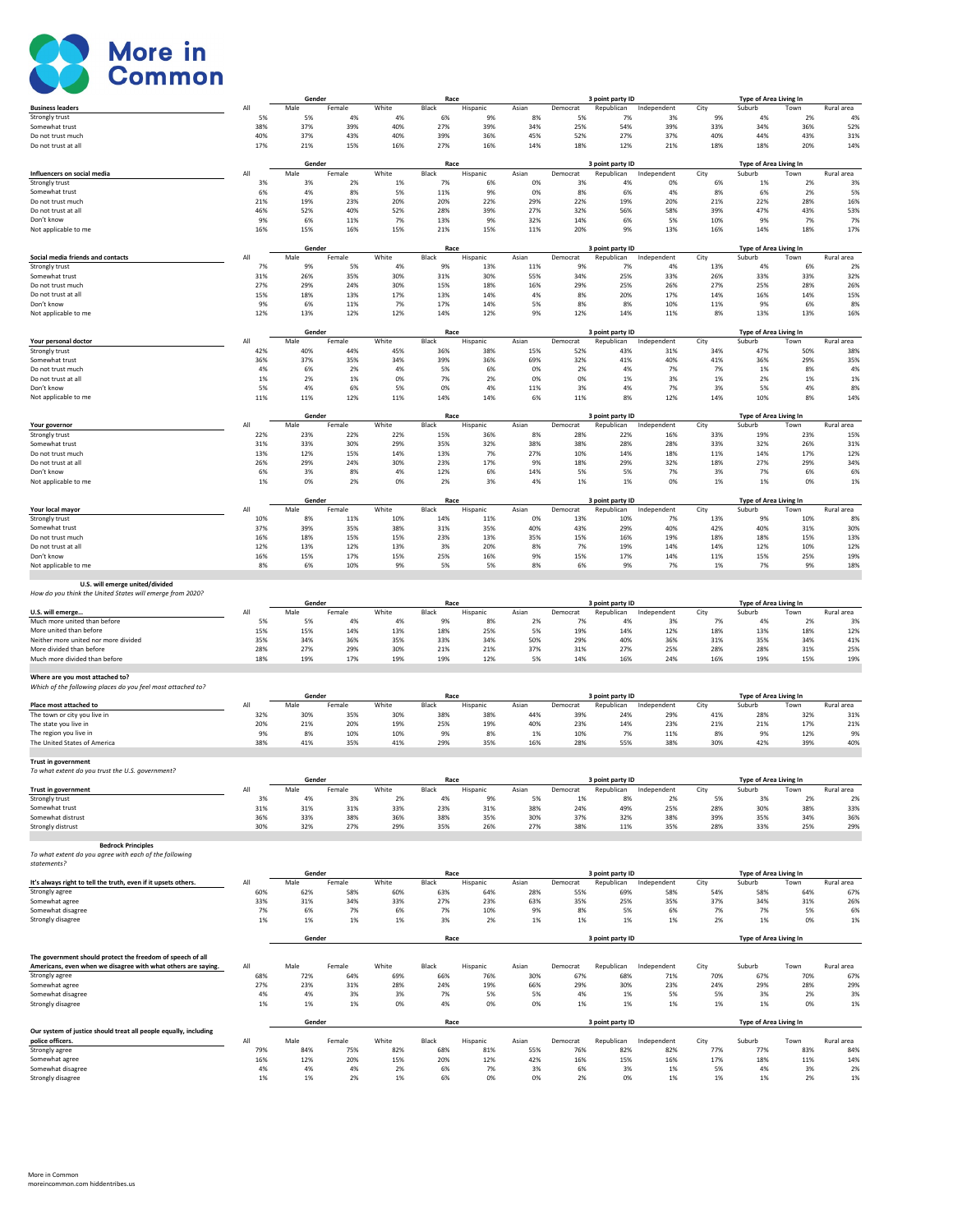

|                                                                  |            | Gender         |               |              | Race          |                 |              |                 | 3 point party ID               |                    |             | Type of Area Living In                  |             |                   |
|------------------------------------------------------------------|------------|----------------|---------------|--------------|---------------|-----------------|--------------|-----------------|--------------------------------|--------------------|-------------|-----------------------------------------|-------------|-------------------|
| <b>Business leaders</b>                                          | All        | Male           | Female        | White        | Black         | Hispanic        | Asian        | Democrat        | Republican                     | Independent        | City        | Suburb                                  | Town        | Rural area        |
| Strongly trust<br>Somewhat trust                                 | 5%<br>38%  | 5%<br>37%      | 4%<br>39%     | 4%<br>40%    | 6%<br>27%     | 9%<br>39%       | 8%<br>34%    | 5%<br>25%       | 7%<br>54%                      | 3%<br>39%          | 9%<br>33%   | 4%<br>34%                               | 2%<br>36%   | 49<br>52%         |
| Do not trust much                                                | 40%        | 37%            | 43%           | 40%          | 39%           | 36%             | 45%          | 52%             | 27%                            | 37%                | 40%         | 44%                                     | 43%         | 31%               |
| Do not trust at all                                              | 17%        | 21%            | 15%           | 16%          | 27%           | 16%             | 14%          | 18%             | 12%                            | 21%                | 18%         | 18%                                     | 20%         | 14%               |
|                                                                  |            | Gender         |               |              | Race          |                 |              |                 | 3 point party ID               |                    |             | Type of Area Living In                  |             |                   |
| Influencers on social media                                      | All        | Male           | Female        | White        | Black         | Hispanic        | Asian        | Democrat        | Republican                     | Independent        | City        | Suburb                                  | Town        | Rural area        |
| Strongly trust<br>Somewhat trust                                 | 3%<br>6%   | 3%<br>4%       | 2%<br>8%      | 1%<br>5%     | 7%<br>11%     | 6%<br>9%        | 0%<br>0%     | 3%<br>8%        | 4%<br>6%                       | 0%<br>4%           | 6%<br>8%    | 1%<br>6%                                | 2%<br>2%    | 39<br>5%          |
| Do not trust much                                                | 21%        | 19%            | 23%           | 20%          | 20%           | 22%             | 29%          | 22%             | 19%                            | 20%                | 21%         | 22%                                     | 28%         | 16%               |
| Do not trust at all                                              | 46%        | 52%            | 40%           | 52%          | 28%           | 39%             | 27%          | 32%             | 56%                            | 58%                | 39%         | 47%                                     | 43%         | 53%               |
| Don't know                                                       | 9%         | 6%             | 11%           | 7%           | 13%           | 9%              | 32%          | 14%             | 6%                             | 5%                 | 10%         | 9%                                      | 7%          | 7%                |
| Not applicable to me                                             | 16%        | 15%            | 16%           | 15%          | 21%           | 15%             | 11%          | 20%             | 9%                             | 13%                | 16%         | 14%                                     | 18%         | 17%               |
|                                                                  |            | Gender         |               |              | Race          |                 |              |                 | 3 point party ID               |                    |             | Type of Area Living In                  |             |                   |
| Social media friends and contacts<br>Strongly trust              | All        | Male<br>9%     | Female<br>5%  | White<br>4%  | Black<br>9%   | Hispanic        | Asian        | Democrat<br>9%  | Republican<br>7%               | Independent<br>4%  | City<br>13% | Suburb                                  | Town        | Rural area<br>2%  |
| Somewhat trust                                                   | 7%<br>31%  | 26%            | 35%           | 30%          | 31%           | 13%<br>30%      | 11%<br>55%   | 34%             | 25%                            | 33%                | 26%         | 4%<br>33%                               | 6%<br>33%   | 32%               |
| Do not trust much                                                | 27%        | 29%            | 24%           | 30%          | 15%           | 18%             | 16%          | 29%             | 25%                            | 26%                | 27%         | 25%                                     | 28%         | 26%               |
| Do not trust at all                                              | 15%        | 18%            | 13%           | 17%          | 13%           | 14%             | 4%           | 8%              | 20%                            | 17%                | 14%         | 16%                                     | 14%         | 15%               |
| Don't know<br>Not applicable to me                               | 9%<br>12%  | 6%<br>13%      | 11%<br>12%    | 7%<br>12%    | 17%<br>14%    | 14%<br>12%      | 5%<br>9%     | 8%<br>12%       | 8%<br>14%                      | 10%<br>11%         | 11%<br>8%   | 9%<br>13%                               | 6%<br>13%   | 8%<br>16%         |
|                                                                  |            |                |               |              |               |                 |              |                 |                                |                    |             |                                         |             |                   |
|                                                                  |            | Gender         |               |              | Race          |                 |              |                 | 3 point party ID               |                    |             | <b>Type of Area Living In</b>           |             |                   |
| Your personal doctor<br>Strongly trust                           | All<br>42% | Male<br>40%    | Female<br>44% | White<br>45% | Black<br>36%  | Hispanic<br>38% | Asian<br>15% | Democrat<br>52% | Republican<br>43%              | Independent<br>31% | City<br>34% | Suburb<br>47%                           | Town<br>50% | Rural area<br>38% |
| Somewhat trust                                                   | 36%        | 37%            | 35%           | 34%          | 39%           | 36%             | 69%          | 32%             | 41%                            | 40%                | 41%         | 36%                                     | 29%         | 35%               |
| Do not trust much                                                | 4%         | 6%             | 2%            | 4%           | 5%            | 6%              | 0%           | 2%              | 4%                             | 7%                 | 7%          | 1%                                      | 8%          | 4%                |
| Do not trust at all<br>Don't know                                | 1%<br>5%   | 2%<br>4%       | 1%<br>6%      | 0%<br>5%     | 7%<br>0%      | 2%<br>4%        | 0%<br>11%    | 0%<br>3%        | 1%<br>4%                       | 3%<br>7%           | 1%<br>3%    | 2%<br>5%                                | 1%<br>4%    | 1%<br>8%          |
| Not applicable to me                                             | 11%        | 11%            | 12%           | 11%          | 14%           | 14%             | 6%           | 11%             | 8%                             | 12%                | 14%         | 10%                                     | 8%          | 14%               |
|                                                                  |            |                |               |              |               |                 |              |                 |                                |                    |             |                                         |             |                   |
| Your governor                                                    | All        | Gender<br>Male | Female        | White        | Race<br>Black | Hispanic        | Asian        | Democrat        | 3 point party ID<br>Republican | Independent        | City        | Type of Area Living In<br>Suburb        | Town        | Rural area        |
| Strongly trust                                                   | 22%        | 23%            | 22%           | 22%          | 15%           | 36%             | 8%           | 28%             | 22%                            | 16%                | 33%         | 19%                                     | 23%         | 15%               |
| Somewhat trust                                                   | 31%        | 33%            | 30%           | 29%          | 35%           | 32%             | 38%          | 38%             | 28%                            | 28%                | 33%         | 32%                                     | 26%         | 31%               |
| Do not trust much<br>Do not trust at all                         | 13%<br>26% | 12%<br>29%     | 15%<br>24%    | 14%<br>30%   | 13%<br>23%    | 7%<br>17%       | 27%<br>9%    | 10%<br>18%      | 14%<br>29%                     | 18%<br>32%         | 11%<br>18%  | 14%<br>27%                              | 17%<br>29%  | 12%<br>34%        |
| Don't know                                                       | 6%         | 3%             | 8%            | 4%           | 12%           | 6%              | 14%          | 5%              | 5%                             | 7%                 | 3%          | 7%                                      | 6%          | 6%                |
| Not applicable to me                                             | 1%         | 0%             | 2%            | 0%           | 2%            | 3%              | 4%           | 1%              | 1%                             | 0%                 | 1%          | 1%                                      | 0%          | 1%                |
|                                                                  |            |                |               |              |               |                 |              |                 |                                |                    |             |                                         |             |                   |
| Your local mayor                                                 | All        | Gender<br>Male | Female        | White        | Race<br>Black | Hispanic        | Asian        | Democrat        | 3 point party ID<br>Republican | Independent        | City        | <b>Type of Area Living In</b><br>Suburb | Town        | Rural area        |
| Strongly trust                                                   | 10%        | 8%             | 11%           | 10%          | 14%           | 11%             | 0%           | 13%             | 10%                            | 7%                 | 13%         | 9%                                      | 10%         | 89                |
| Somewhat trust                                                   | 37%        | 39%            | 35%           | 38%          | 31%           | 35%             | 40%          | 43%             | 29%                            | 40%                | 42%         | 40%                                     | 31%         | 30%               |
| Do not trust much<br>Do not trust at all                         | 16%<br>12% | 18%<br>13%     | 15%<br>12%    | 15%<br>13%   | 23%<br>3%     | 13%<br>20%      | 35%<br>8%    | 15%<br>7%       | 16%<br>19%                     | 19%<br>14%         | 18%<br>14%  | 18%<br>12%                              | 15%<br>10%  | 13%<br>12%        |
| Don't know                                                       | 16%        | 15%            | 17%           | 15%          | 25%           | 16%             | 9%           | 15%             | 17%                            | 14%                | 11%         | 15%                                     | 25%         | 19%               |
| Not applicable to me                                             | 8%         | 6%             | 10%           | 9%           | 5%            | 5%              | 8%           | 6%              | 9%                             | 7%                 | 1%          | 7%                                      | 9%          | 18%               |
|                                                                  |            |                |               |              |               |                 |              |                 |                                |                    |             |                                         |             |                   |
| U.S. will emerge united/divided                                  |            |                |               |              |               |                 |              |                 |                                |                    |             |                                         |             |                   |
| How do you think the United States will emerge from 2020?        |            |                |               |              |               |                 |              |                 |                                |                    |             |                                         |             |                   |
|                                                                  |            | Gender         |               |              | Race          |                 |              |                 | 3 point party ID               |                    |             | Type of Area Living In                  |             |                   |
| U.S. will emerge<br>Much more united than before                 | All<br>5%  | Male<br>5%     | Female<br>4%  | White<br>4%  | Black<br>9%   | Hispanic<br>8%  | Asian<br>2%  | Democrat<br>7%  | Republican<br>4%               | Independent<br>3%  | City<br>7%  | Suburb<br>4%                            | Town<br>2%  | Rural area<br>39  |
| More united than before                                          | 15%        | 15%            | 14%           | 13%          | 18%           | 25%             | 5%           | 19%             | 14%                            | 12%                | 18%         | 13%                                     | 18%         | 12%               |
| Neither more united nor more divided                             | 35%        | 34%            | 36%           | 35%          | 33%           | 34%             | 50%          | 29%             | 40%                            | 36%                | 31%         | 35%                                     | 34%         | 41%               |
| More divided than before<br>Much more divided than before        | 28%        | 27%            | 29%           | 30%          | 21%           | 21%             | 37%          | 31%             | 27%                            | 25%                | 28%         | 28%                                     | 31%         | 25%               |
|                                                                  | 18%        | 19%            | 17%           | 19%          | 19%           | 12%             | 5%           | 14%             | 16%                            | 24%                | 16%         | 19%                                     | 15%         | 19%               |
| Where are you most attached to?                                  |            |                |               |              |               |                 |              |                 |                                |                    |             |                                         |             |                   |
| Which of the following places do you feel most attached to?      |            |                |               |              | Race          |                 |              |                 |                                |                    |             |                                         |             |                   |
| Place most attached to                                           | All        | Gender<br>Male | Female        | White        | Black         | Hispanic        | Asian        | Democrat        | 3 point party ID<br>Republican | Independent        | City        | Type of Area Living In<br>Suburb        | Town        | Rural area        |
| The town or city you live in                                     | 32%        | 30%            | 35%           | 30%          | 38%           | 38%             | 44%          | 39%             | 24%                            | 29%                | 41%         | 28%                                     | 32%         | 31%               |
| The state you live in<br>The region you live in                  | 20%<br>9%  | 21%<br>8%      | 20%<br>10%    | 19%          | 25%<br>9%     | 19%             | 40%          | 23%             | 14%                            | 23%                | 21%<br>8%   | 21%<br>9%                               | 17%         | 21%               |
| The United States of America                                     | 38%        | 41%            | 35%           | 10%<br>41%   | 29%           | 8%<br>35%       | 1%<br>16%    | 10%<br>28%      | 7%<br>55%                      | 11%<br>38%         | 30%         | 42%                                     | 12%<br>39%  | 9%<br>40%         |
|                                                                  |            |                |               |              |               |                 |              |                 |                                |                    |             |                                         |             |                   |
| <b>Trust in government</b>                                       |            |                |               |              |               |                 |              |                 |                                |                    |             |                                         |             |                   |
| To what extent do you trust the U.S. government?                 |            | Gender         |               |              | Race          |                 |              |                 | 3 point party ID               |                    |             | Type of Area Living In                  |             |                   |
| Trust in government                                              |            | Male           | Female        | White        | Black         | Hispanic        | Asian        | Democrat        | Republican                     | Independent        | City        | Suburb                                  | Town        | Rural area        |
| Strongly trust<br>Somewhat trust                                 | 3%<br>31%  | 4%<br>31%      | 3%<br>31%     | 2%<br>33%    | 4%<br>23%     | 9%<br>31%       | 5%<br>38%    | 1%<br>24%       | 8%<br>49%                      | 2%<br>25%          | 5%<br>28%   | 3%<br>30%                               | 2%<br>38%   | 2%<br>33%         |
| Somewhat distrust                                                | 36%        | 33%            | 38%           | 36%          | 38%           | 35%             | 30%          | 37%             | 32%                            | 38%                | 39%         | 35%                                     | 34%         | 36%               |
| Strongly distrust                                                | 30%        | 32%            | 27%           | 29%          | 35%           | 26%             | 27%          | 38%             | 11%                            | 35%                | 28%         | 33%                                     | 25%         | 29%               |
| <b>Bedrock Principles</b>                                        |            |                |               |              |               |                 |              |                 |                                |                    |             |                                         |             |                   |
| To what extent do you agree with each of the following           |            |                |               |              |               |                 |              |                 |                                |                    |             |                                         |             |                   |
| statements?                                                      |            | Gender         |               |              | Race          |                 |              |                 | 3 point party ID               |                    |             |                                         |             |                   |
| It's always right to tell the truth, even if it upsets others.   | All        | Male           | Female        | White        | Black         | Hispanic        | Asian        | Democrat        | Republican                     | Independent        | City        | Type of Area Living In<br>Suburb        | Town        | Rural area        |
| Strongly agree                                                   | 60%        | 62%            | 58%           | 60%          | 63%           | 64%             | 28%          | 55%             | 69%                            | 58%                | 54%         | 58%                                     | 64%         | 67%               |
| Somewhat agree                                                   | 33%        | 31%            | 34%           | 33%          | 27%           | 23%             | 63%          | 35%             | 25%                            | 35%                | 37%         | 34%                                     | 31%         | 26%               |
| Somewhat disagree<br>Strongly disagree                           | 7%<br>1%   | 6%<br>1%       | 7%<br>1%      | 6%<br>1%     | 7%<br>3%      | 10%<br>2%       | 9%<br>1%     | 8%<br>1%        | 5%<br>1%                       | 6%<br>1%           | 7%<br>2%    | 7%<br>1%                                | 5%<br>0%    | 6%<br>1%          |
|                                                                  |            |                |               |              |               |                 |              |                 |                                |                    |             |                                         |             |                   |
|                                                                  |            | Gender         |               |              | Race          |                 |              |                 | 3 point party ID               |                    |             | Type of Area Living In                  |             |                   |
| The government should protect the freedom of speech of all       |            |                |               |              |               |                 |              |                 |                                |                    |             |                                         |             |                   |
| Americans, even when we disagree with what others are saying.    | All        | Male           | Female        | White        | Black         | Hispanic        | Asian        | Democrat        | Republican                     | Independent        | City        | Suburb                                  | Town        | Rural area        |
| Strongly agree                                                   | 68%<br>27% | 72%<br>23%     | 64%<br>31%    | 69%<br>28%   | 66%<br>24%    | 76%<br>19%      | 30%<br>66%   | 67%<br>29%      | 68%<br>30%                     | 71%<br>23%         | 70%<br>24%  | 67%<br>29%                              | 70%<br>28%  | 67%<br>29%        |
| Somewhat agree<br>Somewhat disagree                              | 4%         | 4%             | 3%            | 3%           | 7%            | 5%              | 5%           | 4%              | 1%                             | 5%                 | 5%          | 3%                                      | 2%          | 3%                |
| Strongly disagree                                                | 1%         | 1%             | 1%            | 0%           | 4%            | 0%              | 0%           | 1%              | 1%                             | 1%                 | 1%          | 1%                                      | 0%          | 1%                |
|                                                                  |            | Gender         |               |              | Race          |                 |              |                 | 3 point party ID               |                    |             |                                         |             |                   |
| Our system of justice should treat all people equally, including |            |                |               |              |               |                 |              |                 |                                |                    |             | Type of Area Living In                  |             |                   |
| police officers.                                                 | All        | Male           | Female        | White        | Black         | Hispanic        | Asian        | Democrat        | Republican                     | Independent        | City        | Suburb                                  | Town        | Rural area        |
| Strongly agree<br>Somewhat agree                                 | 79%<br>16% | 84%<br>12%     | 75%<br>20%    | 82%<br>15%   | 68%<br>20%    | 81%<br>12%      | 55%<br>42%   | 76%<br>16%      | 82%<br>15%                     | 82%<br>16%         | 77%<br>17%  | 77%<br>18%                              | 83%<br>11%  | 84%<br>14%        |
| Somewhat disagree<br>Strongly disagree                           | 4%<br>1%   | 4%<br>1%       | 4%<br>2%      | 2%<br>1%     | 6%<br>6%      | 7%<br>0%        | 3%<br>0%     | 6%<br>2%        | 3%<br>0%                       | 1%<br>1%           | 5%<br>1%    | 4%<br>1%                                | 3%<br>2%    | 2%<br>1%          |